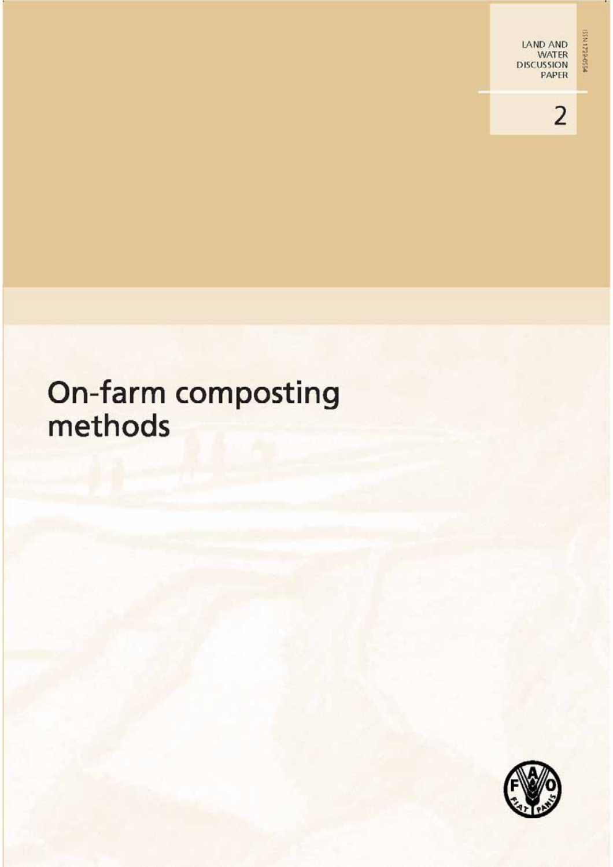PSSD-BZZENSS

# On-farm composting<br>methods

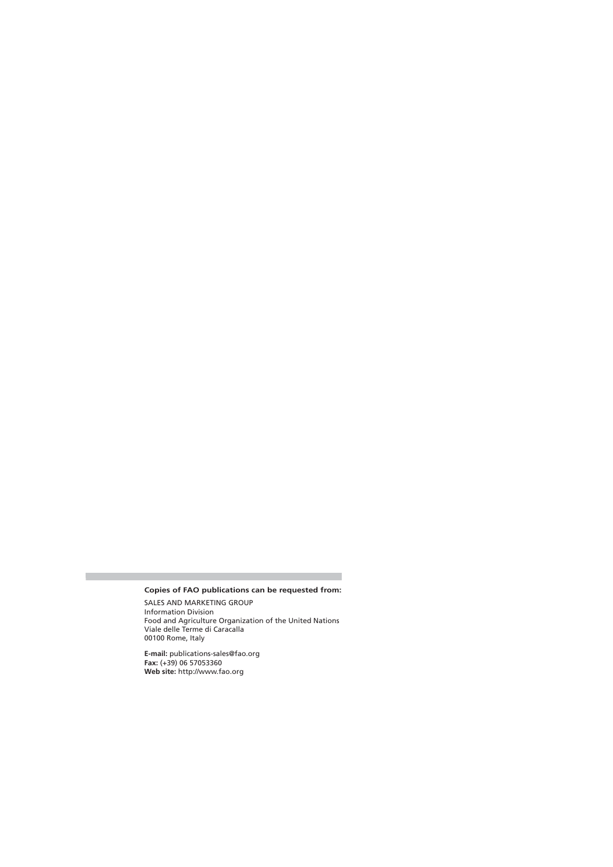#### **Copies of FAO publications can be requested from:**

SALES AND MARKETING GROUP Information Division Food and Agriculture Organization of the United Nations Viale delle Terme di Caracalla 00100 Rome, Italy

**E-mail:** publications-sales@fao.org **Fax:** (+39) 06 57053360 **Web site:** http://www.fao.org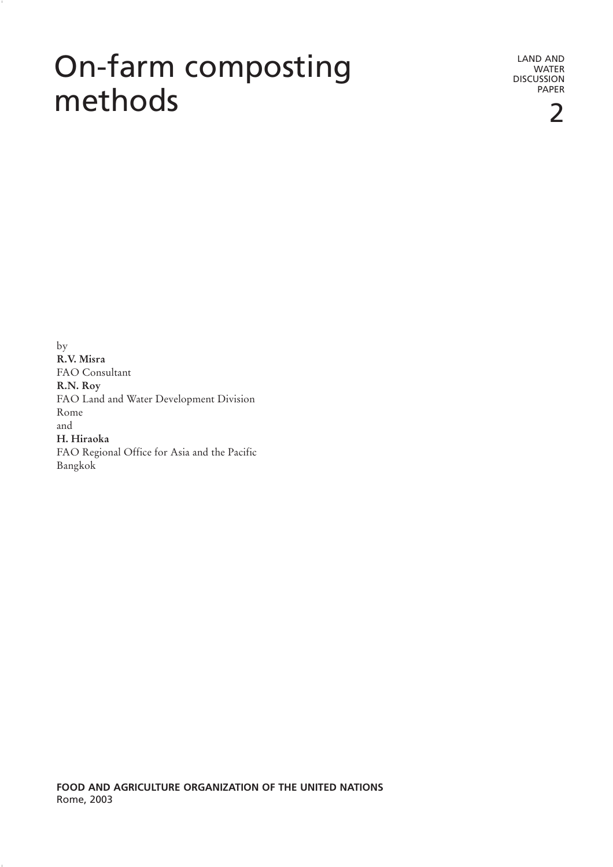## On-farm composting methods

LAND AND **WATER** DISCUSSION PAPER

 $by$ **R.V.** Misra FAO Consultant **8.N.** Roy FAO Land and Water Development Division Rome and H. Hiraoka FAO Regional Office for Asia and the Pacific Bangkok

FOOD AND AGRICULTURE ORGANIZATION OF THE UNITED NATIONS Rome, 2003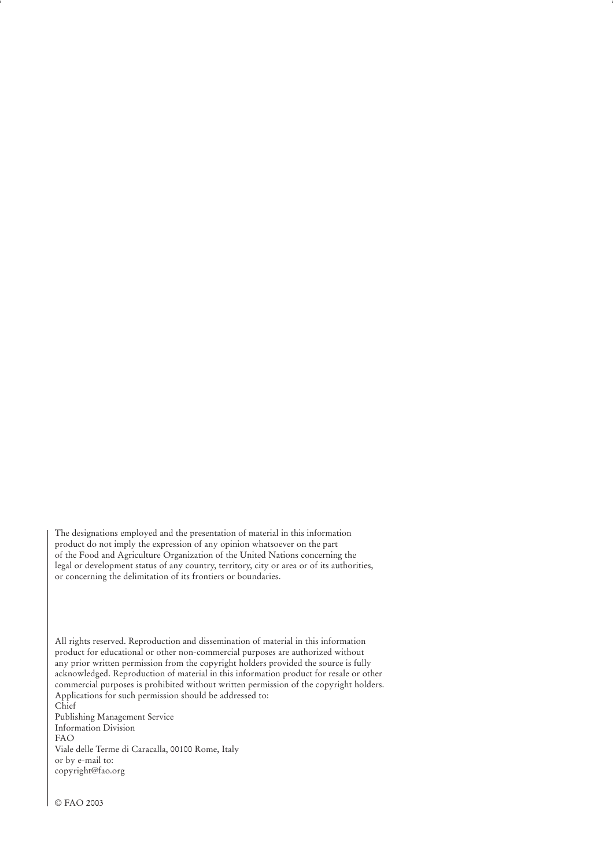The designations employed and the presentation of material in this information product do not imply the expression of any opinion whatsoever on the part of the Food and Agriculture Organization of the United Nations concerning the legal or development status of any country, territory, city or area or of its authorities, or concerning the delimitation of its frontiers or boundaries.

All rights reserved. Reproduction and dissemination of material in this information product for educational or other non-commercial purposes are authorized without any prior written permission from the copyright holders provided the source is fully acknowledged. Reproduction of material in this information product for resale or other commercial purposes is prohibited without written permission of the copyright holders. Applications for such permission should be addressed to:

 $\overrightarrow{\text{Chief}}$ Publishing Management Service Information Division  $FAO$ Viale delle Terme di Caracalla, 00100 Rome, Italy or by e-mail to: copyright@fao.org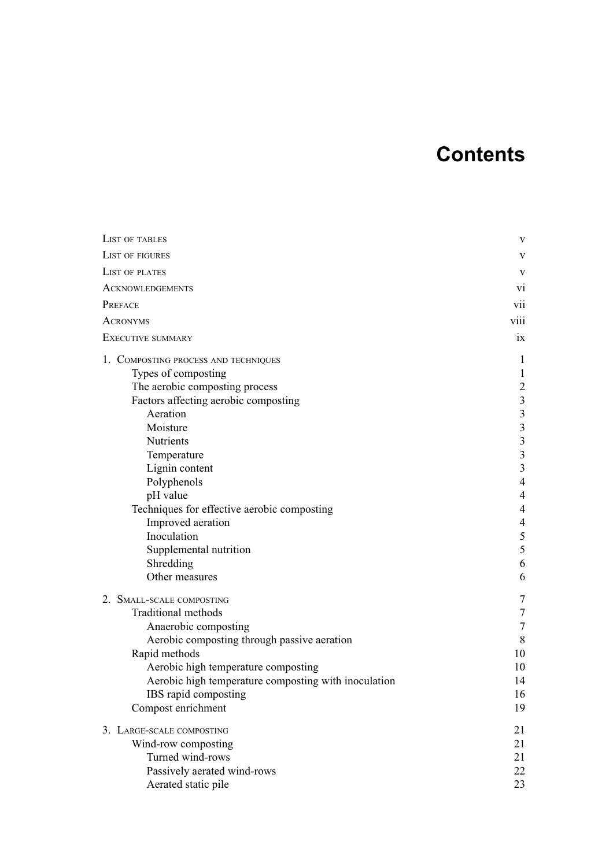## **Contents**

| <b>LIST OF TABLES</b>                                | V                        |
|------------------------------------------------------|--------------------------|
| <b>LIST OF FIGURES</b>                               | V                        |
| LIST OF PLATES                                       | V                        |
| <b>ACKNOWLEDGEMENTS</b>                              | vi                       |
| PREFACE                                              | Vİİ                      |
| <b>ACRONYMS</b>                                      | viii                     |
| <b>EXECUTIVE SUMMARY</b>                             | ix                       |
| 1. COMPOSTING PROCESS AND TECHNIQUES                 | 1                        |
| Types of composting                                  | $\mathbf{1}$             |
| The aerobic composting process                       | $\overline{c}$           |
| Factors affecting aerobic composting                 | $\mathfrak{Z}$           |
| Aeration                                             | $\overline{\mathbf{3}}$  |
| Moisture                                             | $\overline{\mathbf{3}}$  |
| Nutrients                                            | $\overline{\mathbf{3}}$  |
| Temperature                                          | $\overline{\mathbf{3}}$  |
| Lignin content                                       | $\mathfrak{Z}$           |
| Polyphenols                                          | $\overline{4}$           |
| pH value                                             | $\overline{\mathcal{L}}$ |
| Techniques for effective aerobic composting          | $\overline{\mathcal{L}}$ |
| Improved aeration                                    | 4                        |
| Inoculation                                          | $\mathfrak s$            |
| Supplemental nutrition                               | 5                        |
| Shredding                                            | 6                        |
| Other measures                                       | 6                        |
| 2. SMALL-SCALE COMPOSTING                            | 7                        |
| <b>Traditional methods</b>                           | $\tau$                   |
| Anaerobic composting                                 | $\tau$                   |
| Aerobic composting through passive aeration          | 8                        |
| Rapid methods                                        | 10                       |
| Aerobic high temperature composting                  | 10                       |
| Aerobic high temperature composting with inoculation | 14                       |
| IBS rapid composting                                 | 16                       |
| Compost enrichment                                   | 19                       |
| 3. LARGE-SCALE COMPOSTING                            | 21                       |
| Wind-row composting                                  | 21                       |
| Turned wind-rows                                     | 21                       |
| Passively aerated wind-rows                          | 22                       |
| Aerated static pile                                  | 23                       |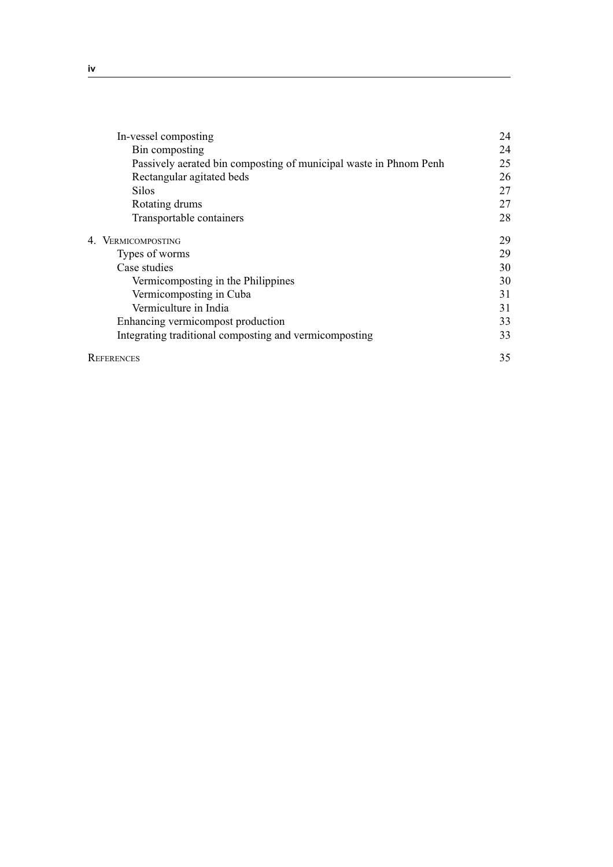| In-vessel composting                                              | 24 |
|-------------------------------------------------------------------|----|
| Bin composting                                                    | 24 |
| Passively aerated bin composting of municipal waste in Phnom Penh | 25 |
| Rectangular agitated beds                                         | 26 |
| <b>Silos</b>                                                      | 27 |
| Rotating drums                                                    | 27 |
| Transportable containers                                          | 28 |
| 4. VERMICOMPOSTING                                                | 29 |
| Types of worms                                                    | 29 |
| Case studies                                                      | 30 |
| Vermicomposting in the Philippines                                | 30 |
| Vermicomposting in Cuba                                           | 31 |
| Vermiculture in India                                             | 31 |
| Enhancing vermicompost production                                 | 33 |
| Integrating traditional composting and vermicomposting            | 33 |
| <b>REFERENCES</b>                                                 | 35 |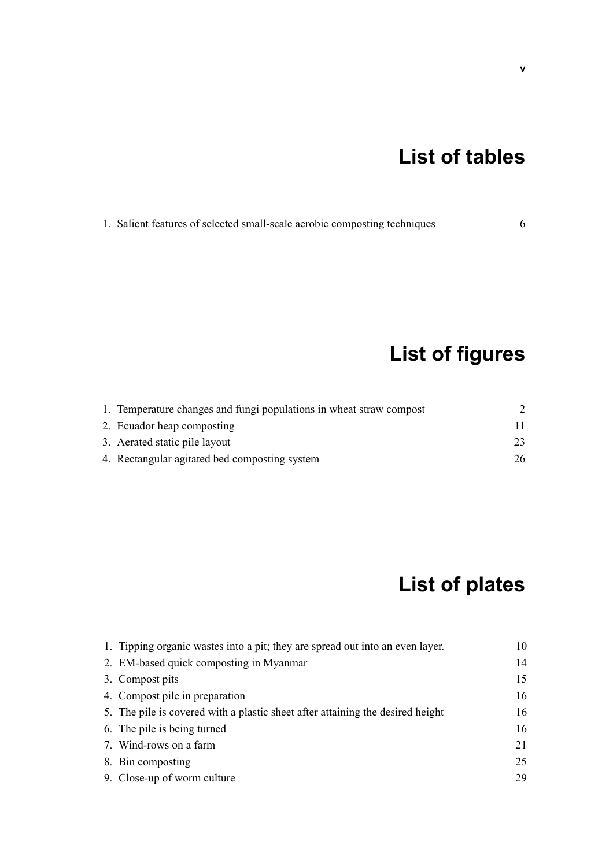## **List of tables**

1. Salient features of selected small-scale aerobic composting techniques 6

**List of figures**

| 1. Temperature changes and fungi populations in wheat straw compost |    |
|---------------------------------------------------------------------|----|
| 2. Ecuador heap composting                                          |    |
| 3. Aerated static pile layout                                       | 23 |
| 4. Rectangular agitated bed composting system                       | 26 |

## **List of plates**

| 1. Tipping organic wastes into a pit; they are spread out into an even layer.  | 10 |
|--------------------------------------------------------------------------------|----|
| 2. EM-based quick composting in Myanmar                                        | 14 |
| 3. Compost pits                                                                | 15 |
| 4. Compost pile in preparation                                                 | 16 |
| 5. The pile is covered with a plastic sheet after attaining the desired height | 16 |
| 6. The pile is being turned                                                    | 16 |
| 7. Wind-rows on a farm                                                         | 21 |
| 8. Bin composting                                                              | 25 |
| 9. Close-up of worm culture                                                    | 29 |
|                                                                                |    |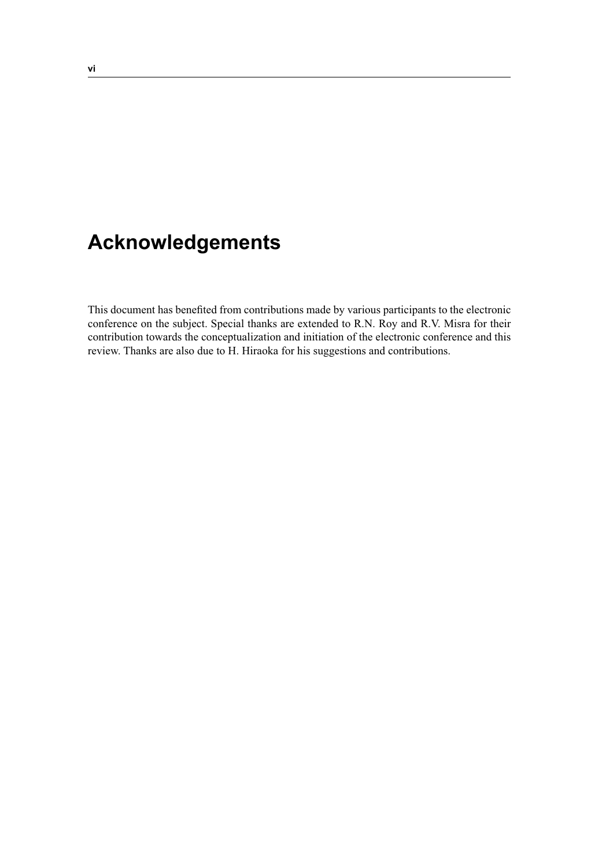## **Acknowledgements**

This document has benefited from contributions made by various participants to the electronic conference on the subject. Special thanks are extended to R.N. Roy and R.V. Misra for their contribution towards the conceptualization and initiation of the electronic conference and this review. Thanks are also due to H. Hiraoka for his suggestions and contributions.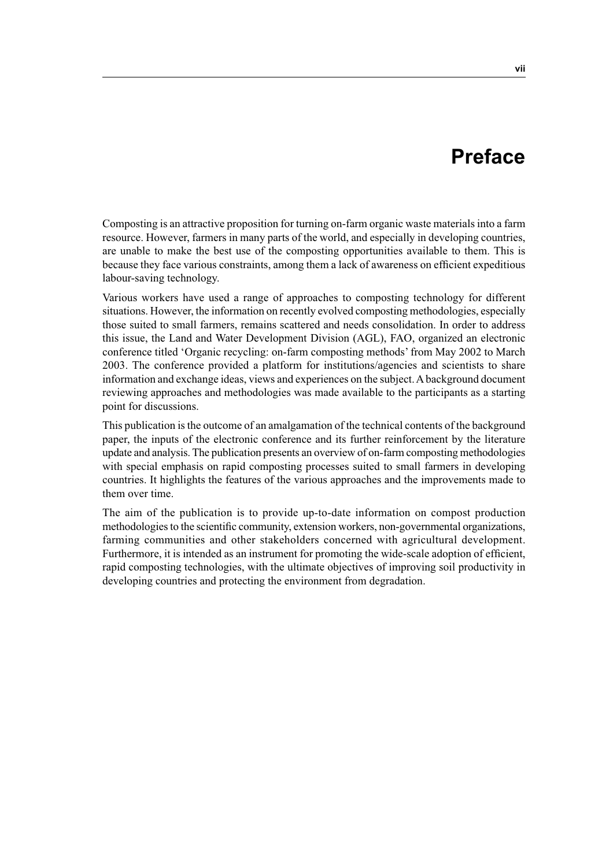## **Preface**

Composting is an attractive proposition for turning on-farm organic waste materials into a farm resource. However, farmers in many parts of the world, and especially in developing countries, are unable to make the best use of the composting opportunities available to them. This is because they face various constraints, among them a lack of awareness on efficient expeditious labour-saving technology.

Various workers have used a range of approaches to composting technology for different situations. However, the information on recently evolved composting methodologies, especially those suited to small farmers, remains scattered and needs consolidation. In order to address this issue, the Land and Water Development Division (AGL), FAO, organized an electronic conference titled 'Organic recycling: on-farm composting methods' from May 2002 to March 2003. The conference provided a platform for institutions/agencies and scientists to share information and exchange ideas, views and experiences on the subject. A background document reviewing approaches and methodologies was made available to the participants as a starting point for discussions.

This publication is the outcome of an amalgamation of the technical contents of the background paper, the inputs of the electronic conference and its further reinforcement by the literature update and analysis. The publication presents an overview of on-farm composting methodologies with special emphasis on rapid composting processes suited to small farmers in developing countries. It highlights the features of the various approaches and the improvements made to them over time.

The aim of the publication is to provide up-to-date information on compost production methodologies to the scientific community, extension workers, non-governmental organizations, farming communities and other stakeholders concerned with agricultural development. Furthermore, it is intended as an instrument for promoting the wide-scale adoption of efficient, rapid composting technologies, with the ultimate objectives of improving soil productivity in developing countries and protecting the environment from degradation.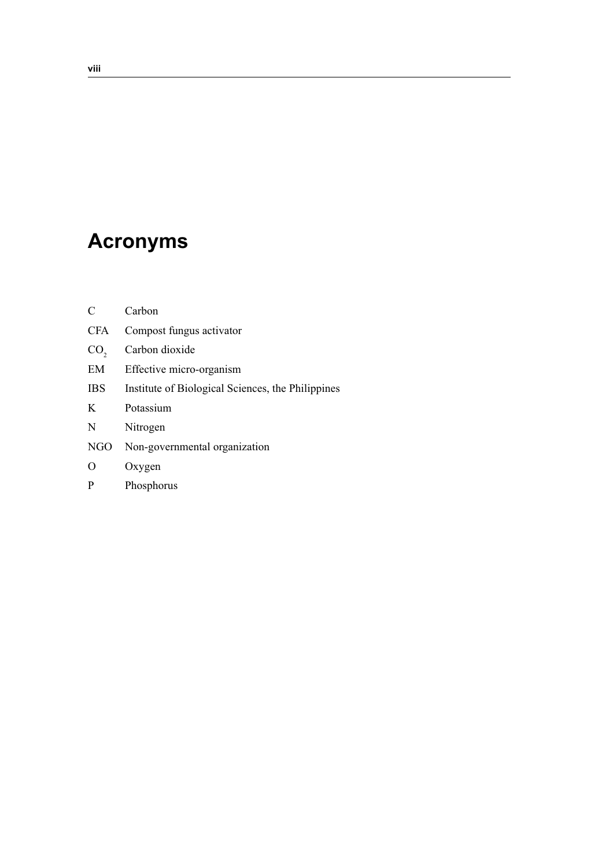## **Acronyms**

| C               | Carbon                                            |
|-----------------|---------------------------------------------------|
| <b>CFA</b>      | Compost fungus activator                          |
| CO <sub>2</sub> | Carbon dioxide                                    |
| EM              | Effective micro-organism                          |
| <b>IBS</b>      | Institute of Biological Sciences, the Philippines |
| K               | Potassium                                         |
| N               | Nitrogen                                          |
| NGO             | Non-governmental organization                     |
| O               | Oxygen                                            |
| P               | Phosphorus                                        |
|                 |                                                   |

<u> 1989 - Johann Barn, mars ann an t-Amhain Aonaich an t-Aonaich an t-Aonaich ann an t-Aonaich ann an t-Aonaich</u>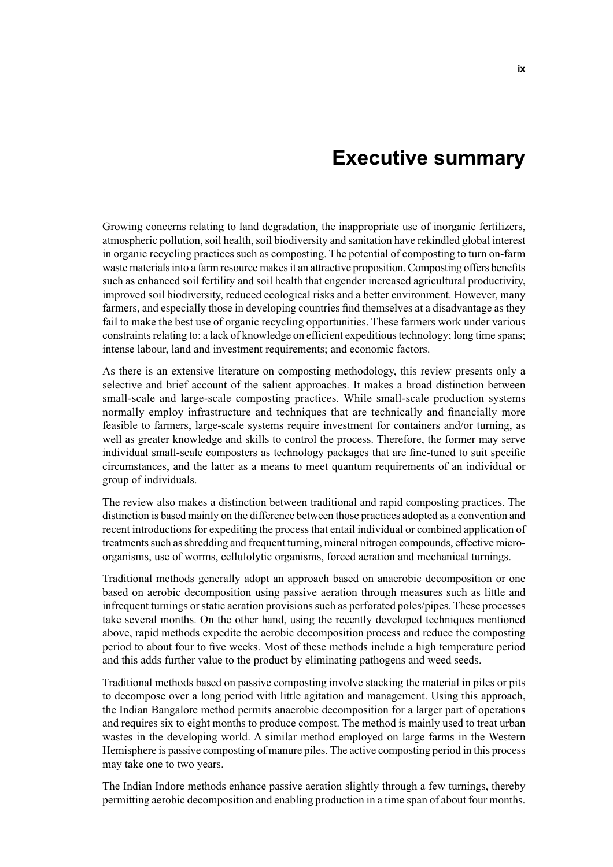## **Executive summary**

Growing concerns relating to land degradation, the inappropriate use of inorganic fertilizers, atmospheric pollution, soil health, soil biodiversity and sanitation have rekindled global interest in organic recycling practices such as composting. The potential of composting to turn on-farm waste materials into a farm resource makes it an attractive proposition. Composting offers benefits such as enhanced soil fertility and soil health that engender increased agricultural productivity, improved soil biodiversity, reduced ecological risks and a better environment. However, many farmers, and especially those in developing countries find themselves at a disadvantage as they fail to make the best use of organic recycling opportunities. These farmers work under various constraints relating to: a lack of knowledge on efficient expeditious technology; long time spans; intense labour, land and investment requirements; and economic factors.

As there is an extensive literature on composting methodology, this review presents only a selective and brief account of the salient approaches. It makes a broad distinction between small-scale and large-scale composting practices. While small-scale production systems normally employ infrastructure and techniques that are technically and financially more feasible to farmers, large-scale systems require investment for containers and/or turning, as well as greater knowledge and skills to control the process. Therefore, the former may serve individual small-scale composters as technology packages that are fine-tuned to suit specific circumstances, and the latter as a means to meet quantum requirements of an individual or group of individuals.

The review also makes a distinction between traditional and rapid composting practices. The distinction is based mainly on the difference between those practices adopted as a convention and recent introductions for expediting the process that entail individual or combined application of treatments such as shredding and frequent turning, mineral nitrogen compounds, effective microorganisms, use of worms, cellulolytic organisms, forced aeration and mechanical turnings.

Traditional methods generally adopt an approach based on anaerobic decomposition or one based on aerobic decomposition using passive aeration through measures such as little and infrequent turnings or static aeration provisions such as perforated poles/pipes. These processes take several months. On the other hand, using the recently developed techniques mentioned above, rapid methods expedite the aerobic decomposition process and reduce the composting period to about four to five weeks. Most of these methods include a high temperature period and this adds further value to the product by eliminating pathogens and weed seeds.

Traditional methods based on passive composting involve stacking the material in piles or pits to decompose over a long period with little agitation and management. Using this approach, the Indian Bangalore method permits anaerobic decomposition for a larger part of operations and requires six to eight months to produce compost. The method is mainly used to treat urban wastes in the developing world. A similar method employed on large farms in the Western Hemisphere is passive composting of manure piles. The active composting period in this process may take one to two years.

The Indian Indore methods enhance passive aeration slightly through a few turnings, thereby permitting aerobic decomposition and enabling production in a time span of about four months.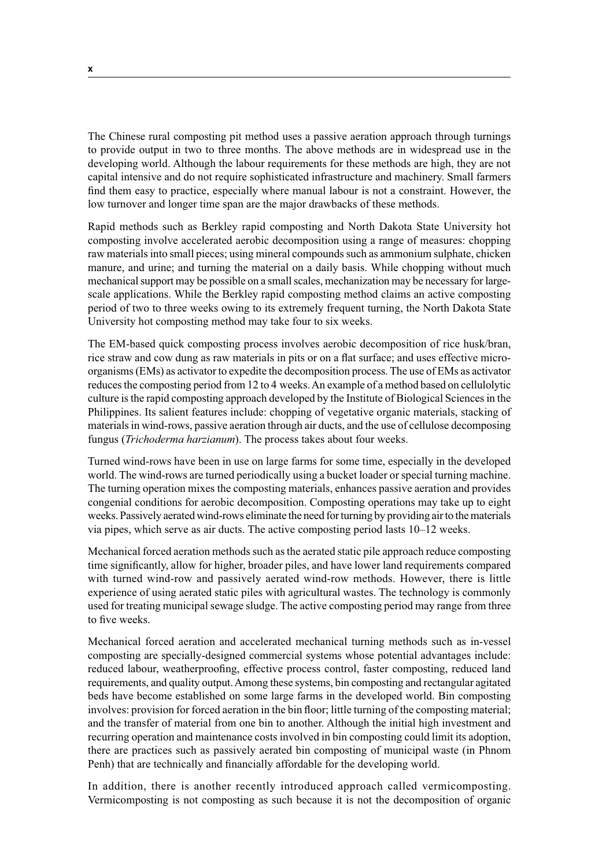The Chinese rural composting pit method uses a passive aeration approach through turnings to provide output in two to three months. The above methods are in widespread use in the developing world. Although the labour requirements for these methods are high, they are not capital intensive and do not require sophisticated infrastructure and machinery. Small farmers find them easy to practice, especially where manual labour is not a constraint. However, the low turnover and longer time span are the major drawbacks of these methods.

Rapid methods such as Berkley rapid composting and North Dakota State University hot composting involve accelerated aerobic decomposition using a range of measures: chopping raw materials into small pieces; using mineral compounds such as ammonium sulphate, chicken manure, and urine; and turning the material on a daily basis. While chopping without much mechanical support may be possible on a small scales, mechanization may be necessary for largescale applications. While the Berkley rapid composting method claims an active composting period of two to three weeks owing to its extremely frequent turning, the North Dakota State University hot composting method may take four to six weeks.

The EM-based quick composting process involves aerobic decomposition of rice husk/bran, rice straw and cow dung as raw materials in pits or on a flat surface; and uses effective microorganisms (EMs) as activator to expedite the decomposition process. The use of EMs as activator reduces the composting period from 12 to 4 weeks. An example of a method based on cellulolytic culture is the rapid composting approach developed by the Institute of Biological Sciences in the Philippines. Its salient features include: chopping of vegetative organic materials, stacking of materials in wind-rows, passive aeration through air ducts, and the use of cellulose decomposing fungus (*Trichoderma harzianum*). The process takes about four weeks.

Turned wind-rows have been in use on large farms for some time, especially in the developed world. The wind-rows are turned periodically using a bucket loader or special turning machine. The turning operation mixes the composting materials, enhances passive aeration and provides congenial conditions for aerobic decomposition. Composting operations may take up to eight weeks. Passively aerated wind-rows eliminate the need for turning by providing air to the materials via pipes, which serve as air ducts. The active composting period lasts 10–12 weeks.

Mechanical forced aeration methods such as the aerated static pile approach reduce composting time significantly, allow for higher, broader piles, and have lower land requirements compared with turned wind-row and passively aerated wind-row methods. However, there is little experience of using aerated static piles with agricultural wastes. The technology is commonly used for treating municipal sewage sludge. The active composting period may range from three to five weeks.

Mechanical forced aeration and accelerated mechanical turning methods such as in-vessel composting are specially-designed commercial systems whose potential advantages include: reduced labour, weatherproofing, effective process control, faster composting, reduced land requirements, and quality output. Among these systems, bin composting and rectangular agitated beds have become established on some large farms in the developed world. Bin composting involves: provision for forced aeration in the bin floor; little turning of the composting material; and the transfer of material from one bin to another. Although the initial high investment and recurring operation and maintenance costs involved in bin composting could limit its adoption, there are practices such as passively aerated bin composting of municipal waste (in Phnom Penh) that are technically and financially affordable for the developing world.

In addition, there is another recently introduced approach called vermicomposting. Vermicomposting is not composting as such because it is not the decomposition of organic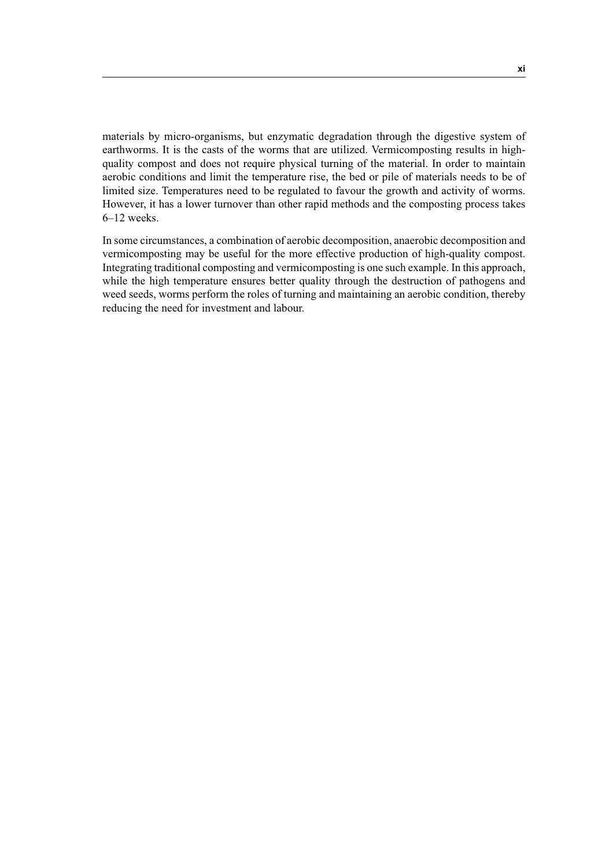materials by micro-organisms, but enzymatic degradation through the digestive system of earthworms. It is the casts of the worms that are utilized. Vermicomposting results in highquality compost and does not require physical turning of the material. In order to maintain aerobic conditions and limit the temperature rise, the bed or pile of materials needs to be of limited size. Temperatures need to be regulated to favour the growth and activity of worms. However, it has a lower turnover than other rapid methods and the composting process takes 6–12 weeks.

In some circumstances, a combination of aerobic decomposition, anaerobic decomposition and vermicomposting may be useful for the more effective production of high-quality compost. Integrating traditional composting and vermicomposting is one such example. In this approach, while the high temperature ensures better quality through the destruction of pathogens and weed seeds, worms perform the roles of turning and maintaining an aerobic condition, thereby reducing the need for investment and labour.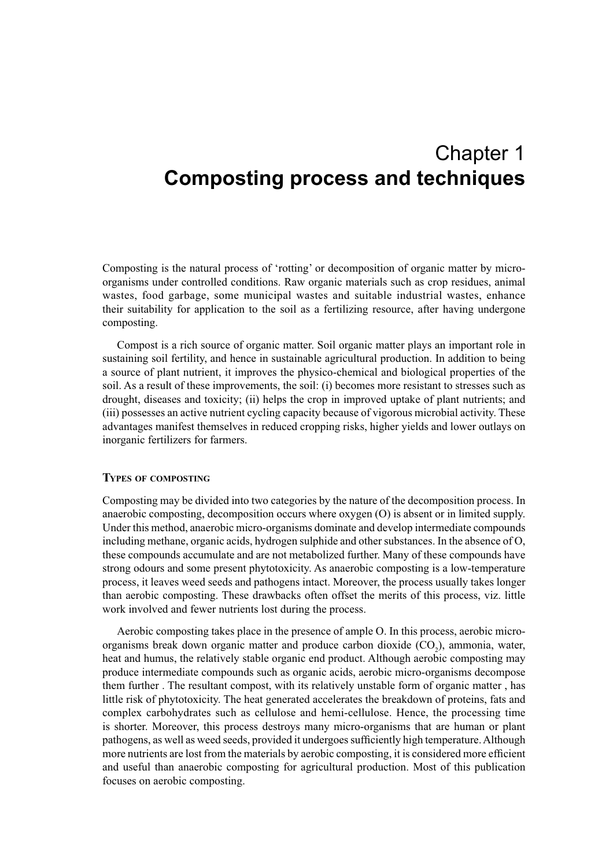## Chapter 1 **Composting process and techniques**

Composting is the natural process of 'rotting' or decomposition of organic matter by microorganisms under controlled conditions. Raw organic materials such as crop residues, animal wastes, food garbage, some municipal wastes and suitable industrial wastes, enhance their suitability for application to the soil as a fertilizing resource, after having undergone composting.

Compost is a rich source of organic matter. Soil organic matter plays an important role in sustaining soil fertility, and hence in sustainable agricultural production. In addition to being a source of plant nutrient, it improves the physico-chemical and biological properties of the soil. As a result of these improvements, the soil: (i) becomes more resistant to stresses such as drought, diseases and toxicity; (ii) helps the crop in improved uptake of plant nutrients; and (iii) possesses an active nutrient cycling capacity because of vigorous microbial activity. These advantages manifest themselves in reduced cropping risks, higher yields and lower outlays on inorganic fertilizers for farmers.

#### **TYPES OF COMPOSTING**

Composting may be divided into two categories by the nature of the decomposition process. In anaerobic composting, decomposition occurs where oxygen (O) is absent or in limited supply. Under this method, anaerobic micro-organisms dominate and develop intermediate compounds including methane, organic acids, hydrogen sulphide and other substances. In the absence of O, these compounds accumulate and are not metabolized further. Many of these compounds have strong odours and some present phytotoxicity. As anaerobic composting is a low-temperature process, it leaves weed seeds and pathogens intact. Moreover, the process usually takes longer than aerobic composting. These drawbacks often offset the merits of this process, viz. little work involved and fewer nutrients lost during the process.

Aerobic composting takes place in the presence of ample O. In this process, aerobic microorganisms break down organic matter and produce carbon dioxide  $(CO_2)$ , ammonia, water, heat and humus, the relatively stable organic end product. Although aerobic composting may produce intermediate compounds such as organic acids, aerobic micro-organisms decompose them further . The resultant compost, with its relatively unstable form of organic matter , has little risk of phytotoxicity. The heat generated accelerates the breakdown of proteins, fats and complex carbohydrates such as cellulose and hemi-cellulose. Hence, the processing time is shorter. Moreover, this process destroys many micro-organisms that are human or plant pathogens, as well as weed seeds, provided it undergoes sufficiently high temperature. Although more nutrients are lost from the materials by aerobic composting, it is considered more efficient and useful than anaerobic composting for agricultural production. Most of this publication focuses on aerobic composting.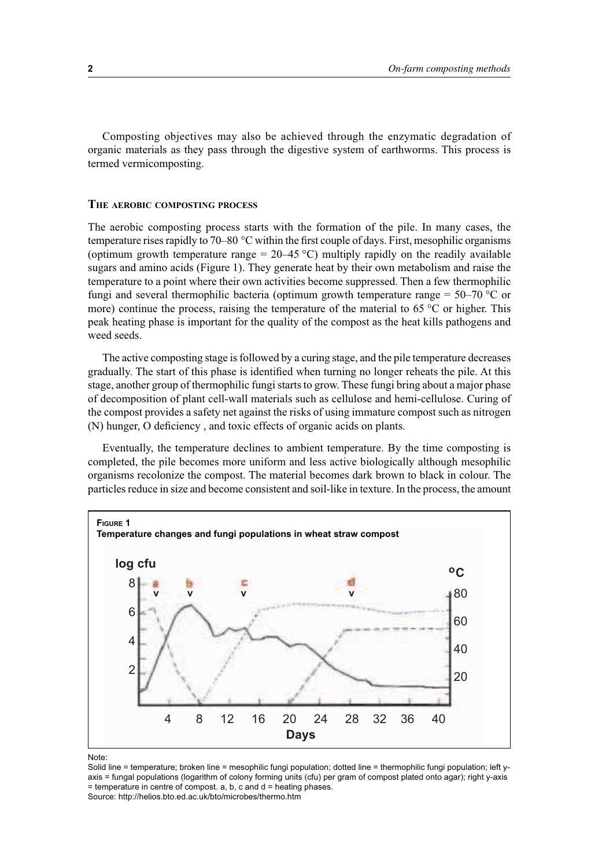Composting objectives may also be achieved through the enzymatic degradation of organic materials as they pass through the digestive system of earthworms. This process is termed vermicomposting.

#### **THE AEROBIC COMPOSTING PROCESS**

The aerobic composting process starts with the formation of the pile. In many cases, the temperature rises rapidly to 70–80  $\degree$ C within the first couple of days. First, mesophilic organisms (optimum growth temperature range =  $20-45$  °C) multiply rapidly on the readily available sugars and amino acids (Figure 1). They generate heat by their own metabolism and raise the temperature to a point where their own activities become suppressed. Then a few thermophilic fungi and several thermophilic bacteria (optimum growth temperature range  $= 50-70$  °C or more) continue the process, raising the temperature of the material to  $65^{\circ}$ C or higher. This peak heating phase is important for the quality of the compost as the heat kills pathogens and weed seeds.

The active composting stage is followed by a curing stage, and the pile temperature decreases gradually. The start of this phase is identified when turning no longer reheats the pile. At this stage, another group of thermophilic fungi starts to grow. These fungi bring about a major phase of decomposition of plant cell-wall materials such as cellulose and hemi-cellulose. Curing of the compost provides a safety net against the risks of using immature compost such as nitrogen (N) hunger, O deficiency , and toxic effects of organic acids on plants.

Eventually, the temperature declines to ambient temperature. By the time composting is completed, the pile becomes more uniform and less active biologically although mesophilic organisms recolonize the compost. The material becomes dark brown to black in colour. The particles reduce in size and become consistent and soil-like in texture. In the process, the amount



Note:

Solid line = temperature; broken line = mesophilic fungi population; dotted line = thermophilic fungi population; left yaxis = fungal populations (logarithm of colony forming units (cfu) per gram of compost plated onto agar); right y-axis  $=$  temperature in centre of compost. a, b, c and  $d =$  heating phases. Source: http://helios.bto.ed.ac.uk/bto/microbes/thermo.htm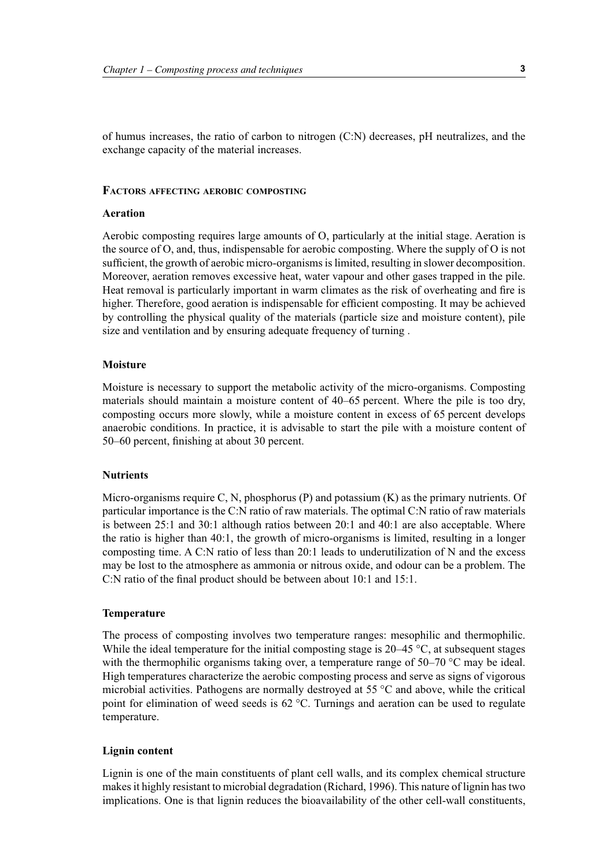of humus increases, the ratio of carbon to nitrogen (C:N) decreases, pH neutralizes, and the exchange capacity of the material increases.

#### **FACTORS AFFECTING AEROBIC COMPOSTING**

#### **Aeration**

Aerobic composting requires large amounts of O, particularly at the initial stage. Aeration is the source of O, and, thus, indispensable for aerobic composting. Where the supply of O is not sufficient, the growth of aerobic micro-organisms is limited, resulting in slower decomposition. Moreover, aeration removes excessive heat, water vapour and other gases trapped in the pile. Heat removal is particularly important in warm climates as the risk of overheating and fire is higher. Therefore, good aeration is indispensable for efficient composting. It may be achieved by controlling the physical quality of the materials (particle size and moisture content), pile size and ventilation and by ensuring adequate frequency of turning .

#### **Moisture**

Moisture is necessary to support the metabolic activity of the micro-organisms. Composting materials should maintain a moisture content of 40–65 percent. Where the pile is too dry, composting occurs more slowly, while a moisture content in excess of 65 percent develops anaerobic conditions. In practice, it is advisable to start the pile with a moisture content of 50–60 percent, finishing at about 30 percent.

#### **Nutrients**

Micro-organisms require C, N, phosphorus (P) and potassium (K) as the primary nutrients. Of particular importance is the C:N ratio of raw materials. The optimal C:N ratio of raw materials is between 25:1 and 30:1 although ratios between 20:1 and 40:1 are also acceptable. Where the ratio is higher than 40:1, the growth of micro-organisms is limited, resulting in a longer composting time. A C:N ratio of less than 20:1 leads to underutilization of N and the excess may be lost to the atmosphere as ammonia or nitrous oxide, and odour can be a problem. The C:N ratio of the final product should be between about 10:1 and 15:1.

#### **Temperature**

The process of composting involves two temperature ranges: mesophilic and thermophilic. While the ideal temperature for the initial composting stage is 20–45 °C, at subsequent stages with the thermophilic organisms taking over, a temperature range of 50–70 °C may be ideal. High temperatures characterize the aerobic composting process and serve as signs of vigorous microbial activities. Pathogens are normally destroyed at 55 °C and above, while the critical point for elimination of weed seeds is 62 °C. Turnings and aeration can be used to regulate temperature.

#### **Lignin content**

Lignin is one of the main constituents of plant cell walls, and its complex chemical structure makes it highly resistant to microbial degradation (Richard, 1996). This nature of lignin has two implications. One is that lignin reduces the bioavailability of the other cell-wall constituents,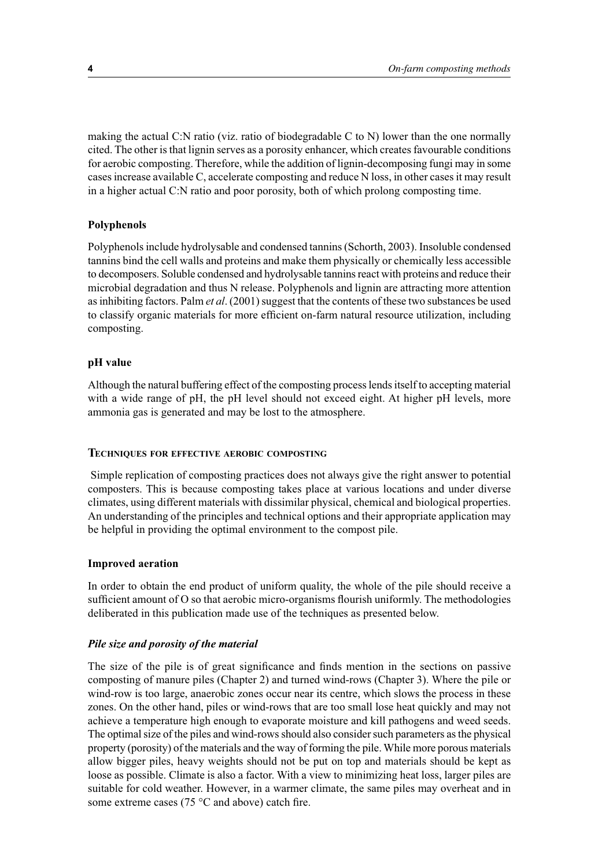making the actual C:N ratio (viz. ratio of biodegradable C to N) lower than the one normally cited. The other is that lignin serves as a porosity enhancer, which creates favourable conditions for aerobic composting. Therefore, while the addition of lignin-decomposing fungi may in some cases increase available C, accelerate composting and reduce N loss, in other cases it may result in a higher actual C:N ratio and poor porosity, both of which prolong composting time.

#### **Polyphenols**

Polyphenols include hydrolysable and condensed tannins (Schorth, 2003). Insoluble condensed tannins bind the cell walls and proteins and make them physically or chemically less accessible to decomposers. Soluble condensed and hydrolysable tannins react with proteins and reduce their microbial degradation and thus N release. Polyphenols and lignin are attracting more attention as inhibiting factors. Palm *et al*. (2001) suggest that the contents of these two substances be used to classify organic materials for more efficient on-farm natural resource utilization, including composting.

#### **pH value**

Although the natural buffering effect of the composting process lends itself to accepting material with a wide range of pH, the pH level should not exceed eight. At higher pH levels, more ammonia gas is generated and may be lost to the atmosphere.

#### **TECHNIQUES FOR EFFECTIVE AEROBIC COMPOSTING**

Simple replication of composting practices does not always give the right answer to potential composters. This is because composting takes place at various locations and under diverse climates, using different materials with dissimilar physical, chemical and biological properties. An understanding of the principles and technical options and their appropriate application may be helpful in providing the optimal environment to the compost pile.

#### **Improved aeration**

In order to obtain the end product of uniform quality, the whole of the pile should receive a sufficient amount of O so that aerobic micro-organisms flourish uniformly. The methodologies deliberated in this publication made use of the techniques as presented below.

#### *Pile size and porosity of the material*

The size of the pile is of great significance and finds mention in the sections on passive composting of manure piles (Chapter 2) and turned wind-rows (Chapter 3). Where the pile or wind-row is too large, anaerobic zones occur near its centre, which slows the process in these zones. On the other hand, piles or wind-rows that are too small lose heat quickly and may not achieve a temperature high enough to evaporate moisture and kill pathogens and weed seeds. The optimal size of the piles and wind-rows should also consider such parameters as the physical property (porosity) of the materials and the way of forming the pile. While more porous materials allow bigger piles, heavy weights should not be put on top and materials should be kept as loose as possible. Climate is also a factor. With a view to minimizing heat loss, larger piles are suitable for cold weather. However, in a warmer climate, the same piles may overheat and in some extreme cases (75 °C and above) catch fire.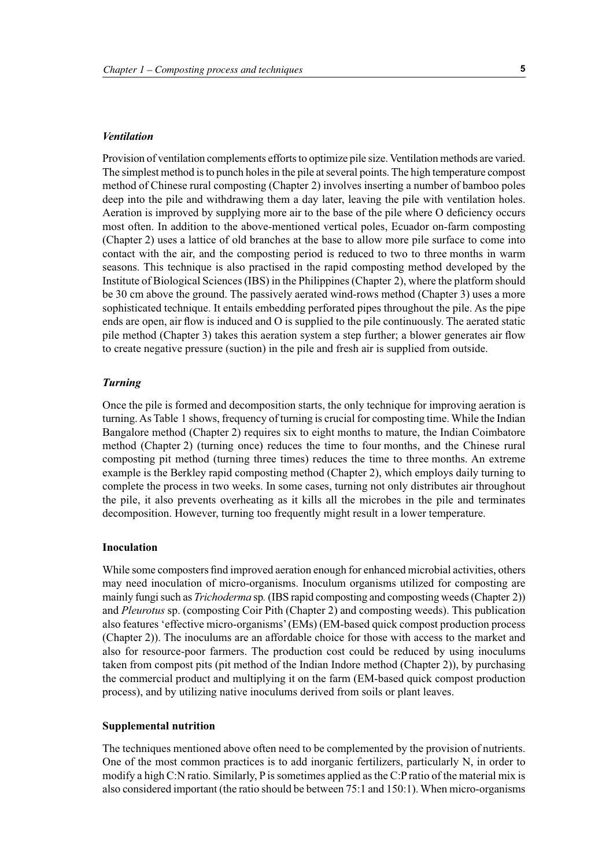#### *Ventilation*

Provision of ventilation complements efforts to optimize pile size. Ventilation methods are varied. The simplest method is to punch holes in the pile at several points. The high temperature compost method of Chinese rural composting (Chapter 2) involves inserting a number of bamboo poles deep into the pile and withdrawing them a day later, leaving the pile with ventilation holes. Aeration is improved by supplying more air to the base of the pile where O deficiency occurs most often. In addition to the above-mentioned vertical poles, Ecuador on-farm composting (Chapter 2) uses a lattice of old branches at the base to allow more pile surface to come into contact with the air, and the composting period is reduced to two to three months in warm seasons. This technique is also practised in the rapid composting method developed by the Institute of Biological Sciences (IBS) in the Philippines (Chapter 2), where the platform should be 30 cm above the ground. The passively aerated wind-rows method (Chapter 3) uses a more sophisticated technique. It entails embedding perforated pipes throughout the pile. As the pipe ends are open, air flow is induced and O is supplied to the pile continuously. The aerated static pile method (Chapter 3) takes this aeration system a step further; a blower generates air flow to create negative pressure (suction) in the pile and fresh air is supplied from outside.

#### *Turning*

Once the pile is formed and decomposition starts, the only technique for improving aeration is turning. As Table 1 shows, frequency of turning is crucial for composting time. While the Indian Bangalore method (Chapter 2) requires six to eight months to mature, the Indian Coimbatore method (Chapter 2) (turning once) reduces the time to four months, and the Chinese rural composting pit method (turning three times) reduces the time to three months. An extreme example is the Berkley rapid composting method (Chapter 2), which employs daily turning to complete the process in two weeks. In some cases, turning not only distributes air throughout the pile, it also prevents overheating as it kills all the microbes in the pile and terminates decomposition. However, turning too frequently might result in a lower temperature.

#### **Inoculation**

While some composters find improved aeration enough for enhanced microbial activities, others may need inoculation of micro-organisms. Inoculum organisms utilized for composting are mainly fungi such as *Trichoderma* sp*.* (IBS rapid composting and composting weeds (Chapter 2)) and *Pleurotus* sp. (composting Coir Pith (Chapter 2) and composting weeds). This publication also features 'effective micro-organisms' (EMs) (EM-based quick compost production process (Chapter 2)). The inoculums are an affordable choice for those with access to the market and also for resource-poor farmers. The production cost could be reduced by using inoculums taken from compost pits (pit method of the Indian Indore method (Chapter 2)), by purchasing the commercial product and multiplying it on the farm (EM-based quick compost production process), and by utilizing native inoculums derived from soils or plant leaves.

#### **Supplemental nutrition**

The techniques mentioned above often need to be complemented by the provision of nutrients. One of the most common practices is to add inorganic fertilizers, particularly N, in order to modify a high C:N ratio. Similarly, P is sometimes applied as the C:P ratio of the material mix is also considered important (the ratio should be between 75:1 and 150:1). When micro-organisms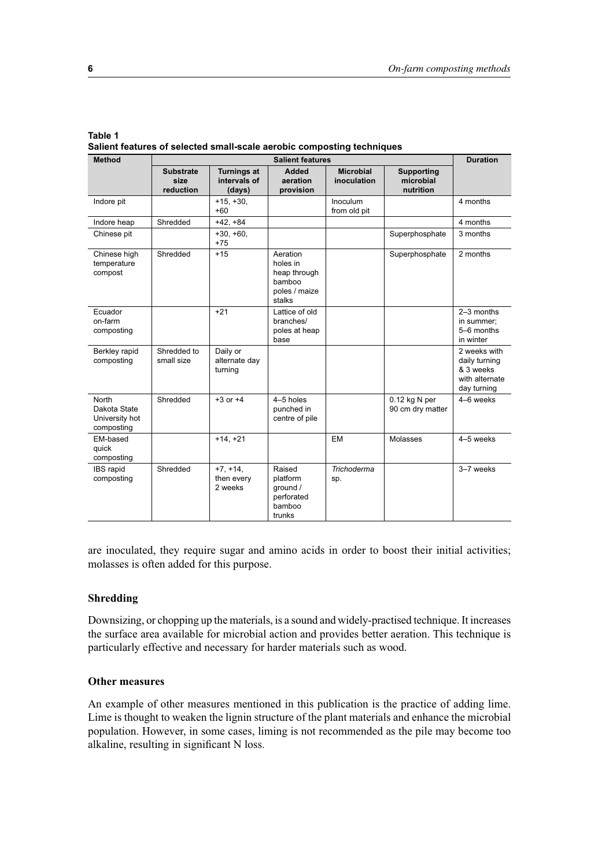|         | Salient features of selected small-scale aerobic composting techniques |
|---------|------------------------------------------------------------------------|
| Table 1 |                                                                        |

| <b>Method</b>                                         | <b>Salient features</b>               |                                              |                                                                           |                                 |                                             | <b>Duration</b>                                                             |
|-------------------------------------------------------|---------------------------------------|----------------------------------------------|---------------------------------------------------------------------------|---------------------------------|---------------------------------------------|-----------------------------------------------------------------------------|
|                                                       | <b>Substrate</b><br>size<br>reduction | <b>Turnings at</b><br>intervals of<br>(days) | <b>Added</b><br>aeration<br>provision                                     | <b>Microbial</b><br>inoculation | <b>Supporting</b><br>microbial<br>nutrition |                                                                             |
| Indore pit                                            |                                       | $+15, +30,$<br>$+60$                         |                                                                           | <b>Inoculum</b><br>from old pit |                                             | 4 months                                                                    |
| Indore heap                                           | Shredded                              | $+42, +84$                                   |                                                                           |                                 |                                             | 4 months                                                                    |
| Chinese pit                                           |                                       | $+30, +60,$<br>$+75$                         |                                                                           |                                 | Superphosphate                              | 3 months                                                                    |
| Chinese high<br>temperature<br>compost                | Shredded                              | $+15$                                        | Aeration<br>holes in<br>heap through<br>bamboo<br>poles / maize<br>stalks |                                 | Superphosphate                              | 2 months                                                                    |
| Ecuador<br>on-farm<br>composting                      |                                       | $+21$                                        | Lattice of old<br>branches/<br>poles at heap<br>base                      |                                 |                                             | $2-3$ months<br>in summer;<br>5-6 months<br>in winter                       |
| Berkley rapid<br>composting                           | Shredded to<br>small size             | Daily or<br>alternate day<br>turning         |                                                                           |                                 |                                             | 2 weeks with<br>daily turning<br>& 3 weeks<br>with alternate<br>day turning |
| North<br>Dakota State<br>University hot<br>composting | Shredded                              | $+3$ or $+4$                                 | 4-5 holes<br>punched in<br>centre of pile                                 |                                 | $0.12$ kg N per<br>90 cm dry matter         | 4-6 weeks                                                                   |
| EM-based<br>quick<br>composting                       |                                       | $+14, +21$                                   |                                                                           | EM                              | Molasses                                    | 4-5 weeks                                                                   |
| IBS rapid<br>composting                               | Shredded                              | $+7, +14,$<br>then every<br>2 weeks          | Raised<br>platform<br>ground /<br>perforated<br>bamboo<br>trunks          | <b>Trichoderma</b><br>sp.       |                                             | 3-7 weeks                                                                   |

are inoculated, they require sugar and amino acids in order to boost their initial activities; molasses is often added for this purpose.

#### **Shredding**

Downsizing, or chopping up the materials, is a sound and widely-practised technique. It increases the surface area available for microbial action and provides better aeration. This technique is particularly effective and necessary for harder materials such as wood.

#### **Other measures**

An example of other measures mentioned in this publication is the practice of adding lime. Lime is thought to weaken the lignin structure of the plant materials and enhance the microbial population. However, in some cases, liming is not recommended as the pile may become too alkaline, resulting in significant N loss.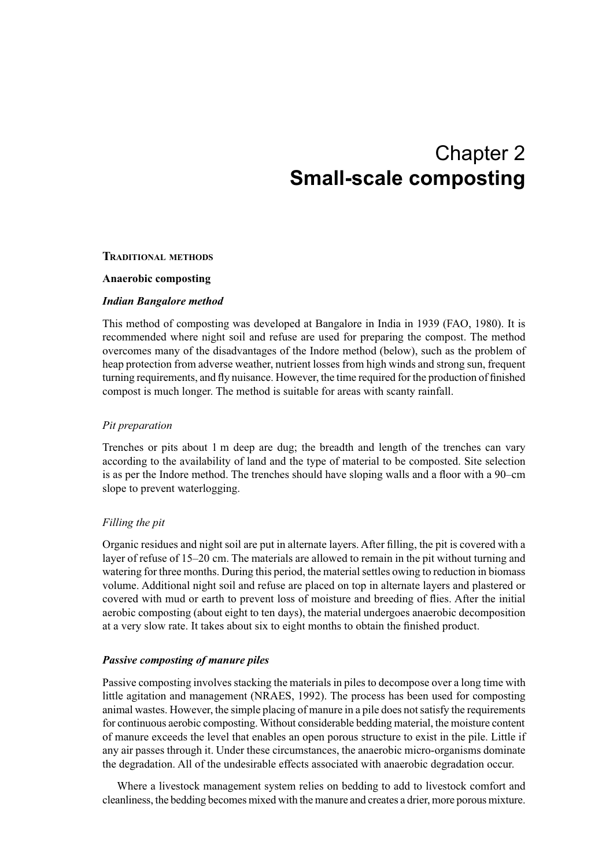## Chapter 2 **Small-scale composting**

#### **TRADITIONAL METHODS**

#### **Anaerobic composting**

#### *Indian Bangalore method*

This method of composting was developed at Bangalore in India in 1939 (FAO, 1980). It is recommended where night soil and refuse are used for preparing the compost. The method overcomes many of the disadvantages of the Indore method (below), such as the problem of heap protection from adverse weather, nutrient losses from high winds and strong sun, frequent turning requirements, and fly nuisance. However, the time required for the production of finished compost is much longer. The method is suitable for areas with scanty rainfall.

#### *Pit preparation*

Trenches or pits about 1 m deep are dug; the breadth and length of the trenches can vary according to the availability of land and the type of material to be composted. Site selection is as per the Indore method. The trenches should have sloping walls and a floor with a 90–cm slope to prevent waterlogging.

#### *Filling the pit*

Organic residues and night soil are put in alternate layers. After filling, the pit is covered with a layer of refuse of 15–20 cm. The materials are allowed to remain in the pit without turning and watering for three months. During this period, the material settles owing to reduction in biomass volume. Additional night soil and refuse are placed on top in alternate layers and plastered or covered with mud or earth to prevent loss of moisture and breeding of flies. After the initial aerobic composting (about eight to ten days), the material undergoes anaerobic decomposition at a very slow rate. It takes about six to eight months to obtain the finished product.

#### *Passive composting of manure piles*

Passive composting involves stacking the materials in piles to decompose over a long time with little agitation and management (NRAES, 1992). The process has been used for composting animal wastes. However, the simple placing of manure in a pile does not satisfy the requirements for continuous aerobic composting. Without considerable bedding material, the moisture content of manure exceeds the level that enables an open porous structure to exist in the pile. Little if any air passes through it. Under these circumstances, the anaerobic micro-organisms dominate the degradation. All of the undesirable effects associated with anaerobic degradation occur.

Where a livestock management system relies on bedding to add to livestock comfort and cleanliness, the bedding becomes mixed with the manure and creates a drier, more porous mixture.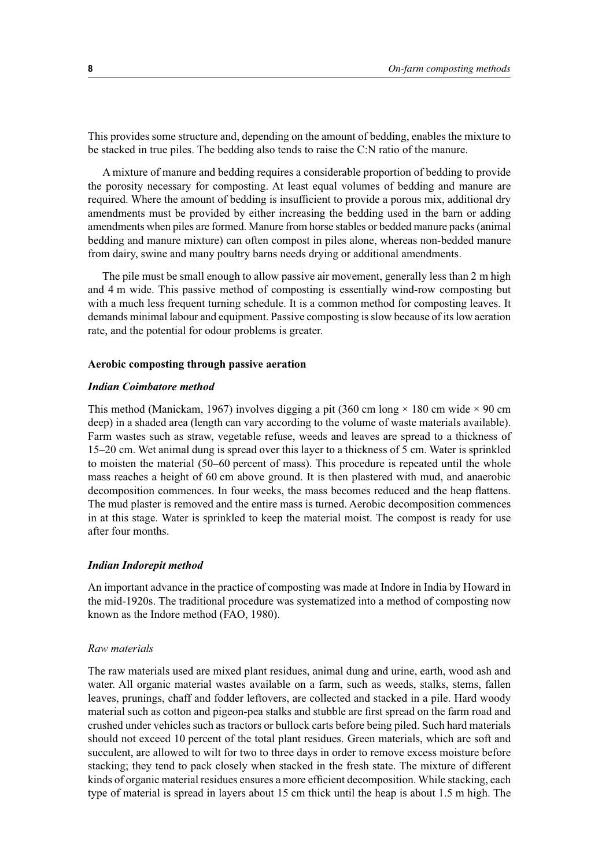This provides some structure and, depending on the amount of bedding, enables the mixture to be stacked in true piles. The bedding also tends to raise the C:N ratio of the manure.

A mixture of manure and bedding requires a considerable proportion of bedding to provide the porosity necessary for composting. At least equal volumes of bedding and manure are required. Where the amount of bedding is insufficient to provide a porous mix, additional dry amendments must be provided by either increasing the bedding used in the barn or adding amendments when piles are formed. Manure from horse stables or bedded manure packs (animal bedding and manure mixture) can often compost in piles alone, whereas non-bedded manure from dairy, swine and many poultry barns needs drying or additional amendments.

The pile must be small enough to allow passive air movement, generally less than 2 m high and 4 m wide. This passive method of composting is essentially wind-row composting but with a much less frequent turning schedule. It is a common method for composting leaves. It demands minimal labour and equipment. Passive composting is slow because of its low aeration rate, and the potential for odour problems is greater.

#### **Aerobic composting through passive aeration**

#### *Indian Coimbatore method*

This method (Manickam, 1967) involves digging a pit (360 cm long  $\times$  180 cm wide  $\times$  90 cm deep) in a shaded area (length can vary according to the volume of waste materials available). Farm wastes such as straw, vegetable refuse, weeds and leaves are spread to a thickness of 15–20 cm. Wet animal dung is spread over this layer to a thickness of 5 cm. Water is sprinkled to moisten the material (50–60 percent of mass). This procedure is repeated until the whole mass reaches a height of 60 cm above ground. It is then plastered with mud, and anaerobic decomposition commences. In four weeks, the mass becomes reduced and the heap flattens. The mud plaster is removed and the entire mass is turned. Aerobic decomposition commences in at this stage. Water is sprinkled to keep the material moist. The compost is ready for use after four months.

#### *Indian Indorepit method*

An important advance in the practice of composting was made at Indore in India by Howard in the mid-1920s. The traditional procedure was systematized into a method of composting now known as the Indore method (FAO, 1980).

#### *Raw materials*

The raw materials used are mixed plant residues, animal dung and urine, earth, wood ash and water. All organic material wastes available on a farm, such as weeds, stalks, stems, fallen leaves, prunings, chaff and fodder leftovers, are collected and stacked in a pile. Hard woody material such as cotton and pigeon-pea stalks and stubble are first spread on the farm road and crushed under vehicles such as tractors or bullock carts before being piled. Such hard materials should not exceed 10 percent of the total plant residues. Green materials, which are soft and succulent, are allowed to wilt for two to three days in order to remove excess moisture before stacking; they tend to pack closely when stacked in the fresh state. The mixture of different kinds of organic material residues ensures a more efficient decomposition. While stacking, each type of material is spread in layers about 15 cm thick until the heap is about 1.5 m high. The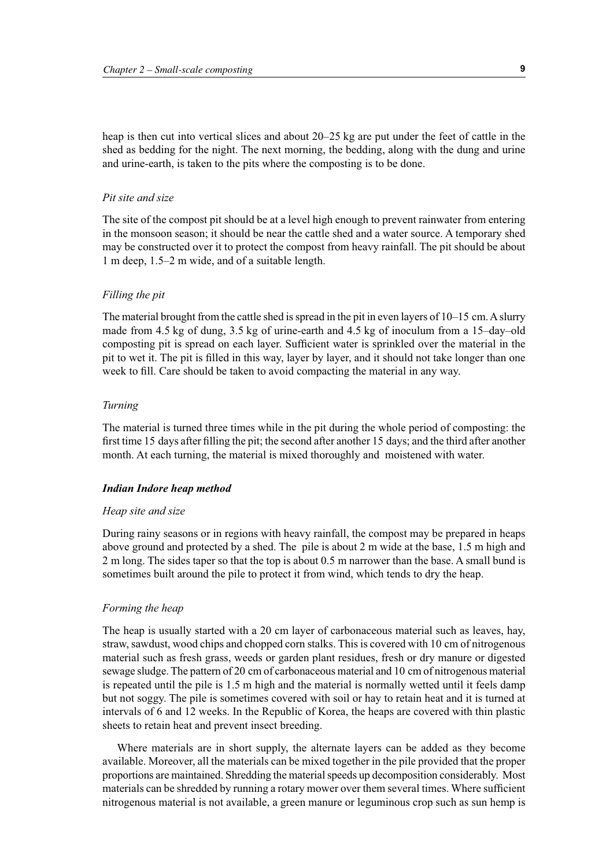heap is then cut into vertical slices and about 20–25 kg are put under the feet of cattle in the shed as bedding for the night. The next morning, the bedding, along with the dung and urine and urine-earth, is taken to the pits where the composting is to be done.

#### *Pit site and size*

The site of the compost pit should be at a level high enough to prevent rainwater from entering in the monsoon season; it should be near the cattle shed and a water source. A temporary shed may be constructed over it to protect the compost from heavy rainfall. The pit should be about 1 m deep, 1.5–2 m wide, and of a suitable length.

#### *Filling the pit*

The material brought from the cattle shed is spread in the pit in even layers of 10–15 cm. A slurry made from 4.5 kg of dung, 3.5 kg of urine-earth and 4.5 kg of inoculum from a 15–day–old composting pit is spread on each layer. Sufficient water is sprinkled over the material in the pit to wet it. The pit is filled in this way, layer by layer, and it should not take longer than one week to fill. Care should be taken to avoid compacting the material in any way.

#### *Turning*

The material is turned three times while in the pit during the whole period of composting: the first time 15 days after filling the pit; the second after another 15 days; and the third after another month. At each turning, the material is mixed thoroughly and moistened with water.

#### *Indian Indore heap method*

#### *Heap site and size*

During rainy seasons or in regions with heavy rainfall, the compost may be prepared in heaps above ground and protected by a shed. The pile is about 2 m wide at the base, 1.5 m high and 2 m long. The sides taper so that the top is about 0.5 m narrower than the base. A small bund is sometimes built around the pile to protect it from wind, which tends to dry the heap.

#### *Forming the heap*

The heap is usually started with a 20 cm layer of carbonaceous material such as leaves, hay, straw, sawdust, wood chips and chopped corn stalks. This is covered with 10 cm of nitrogenous material such as fresh grass, weeds or garden plant residues, fresh or dry manure or digested sewage sludge. The pattern of 20 cm of carbonaceous material and 10 cm of nitrogenous material is repeated until the pile is 1.5 m high and the material is normally wetted until it feels damp but not soggy. The pile is sometimes covered with soil or hay to retain heat and it is turned at intervals of 6 and 12 weeks. In the Republic of Korea, the heaps are covered with thin plastic sheets to retain heat and prevent insect breeding.

Where materials are in short supply, the alternate layers can be added as they become available. Moreover, all the materials can be mixed together in the pile provided that the proper proportions are maintained. Shredding the material speeds up decomposition considerably. Most materials can be shredded by running a rotary mower over them several times. Where sufficient nitrogenous material is not available, a green manure or leguminous crop such as sun hemp is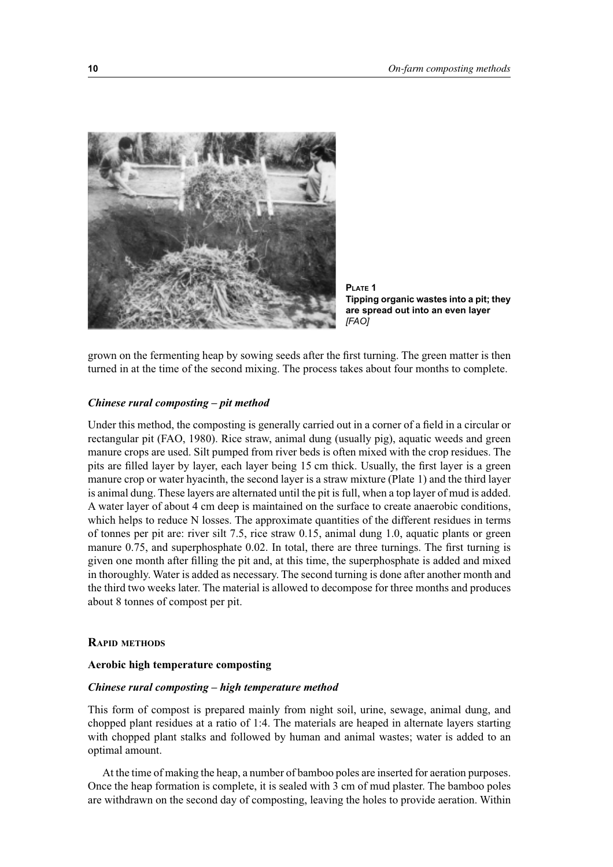

**PLATE 1 Tipping organic wastes into a pit; they are spread out into an even layer** *[FAO]*

grown on the fermenting heap by sowing seeds after the first turning. The green matter is then turned in at the time of the second mixing. The process takes about four months to complete.

#### *Chinese rural composting – pit method*

Under this method, the composting is generally carried out in a corner of a field in a circular or rectangular pit (FAO, 1980). Rice straw, animal dung (usually pig), aquatic weeds and green manure crops are used. Silt pumped from river beds is often mixed with the crop residues. The pits are filled layer by layer, each layer being 15 cm thick. Usually, the first layer is a green manure crop or water hyacinth, the second layer is a straw mixture (Plate 1) and the third layer is animal dung. These layers are alternated until the pit is full, when a top layer of mud is added. A water layer of about 4 cm deep is maintained on the surface to create anaerobic conditions, which helps to reduce N losses. The approximate quantities of the different residues in terms of tonnes per pit are: river silt 7.5, rice straw 0.15, animal dung 1.0, aquatic plants or green manure 0.75, and superphosphate 0.02. In total, there are three turnings. The first turning is given one month after filling the pit and, at this time, the superphosphate is added and mixed in thoroughly. Water is added as necessary. The second turning is done after another month and the third two weeks later. The material is allowed to decompose for three months and produces about 8 tonnes of compost per pit.

#### **RAPID METHODS**

#### **Aerobic high temperature composting**

#### *Chinese rural composting – high temperature method*

This form of compost is prepared mainly from night soil, urine, sewage, animal dung, and chopped plant residues at a ratio of 1:4. The materials are heaped in alternate layers starting with chopped plant stalks and followed by human and animal wastes; water is added to an optimal amount.

At the time of making the heap, a number of bamboo poles are inserted for aeration purposes. Once the heap formation is complete, it is sealed with 3 cm of mud plaster. The bamboo poles are withdrawn on the second day of composting, leaving the holes to provide aeration. Within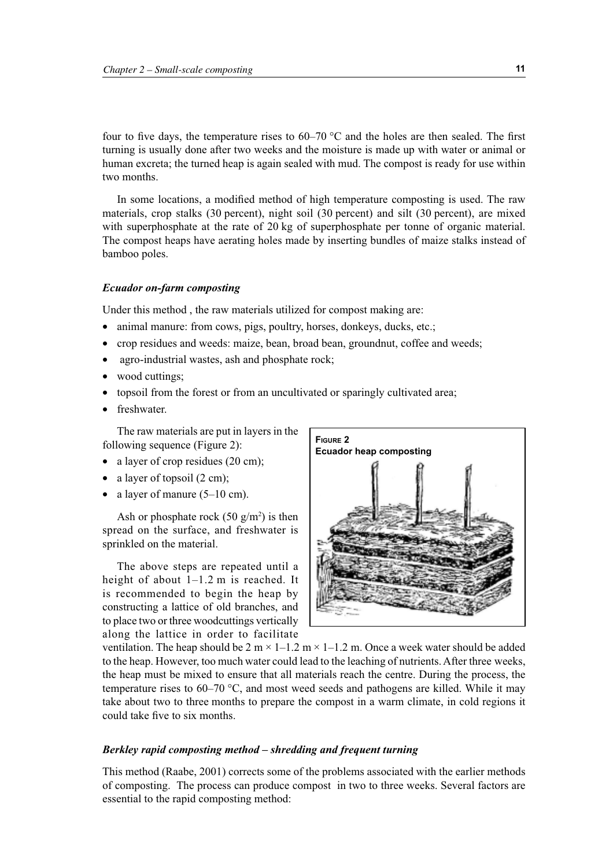four to five days, the temperature rises to  $60-70$  °C and the holes are then sealed. The first turning is usually done after two weeks and the moisture is made up with water or animal or human excreta; the turned heap is again sealed with mud. The compost is ready for use within two months.

In some locations, a modified method of high temperature composting is used. The raw materials, crop stalks (30 percent), night soil (30 percent) and silt (30 percent), are mixed with superphosphate at the rate of 20 kg of superphosphate per tonne of organic material. The compost heaps have aerating holes made by inserting bundles of maize stalks instead of bamboo poles.

#### *Ecuador on-farm composting*

Under this method , the raw materials utilized for compost making are:

- animal manure: from cows, pigs, poultry, horses, donkeys, ducks, etc.;
- crop residues and weeds: maize, bean, broad bean, groundnut, coffee and weeds;
- agro-industrial wastes, ash and phosphate rock;
- wood cuttings;
- topsoil from the forest or from an uncultivated or sparingly cultivated area;
- freshwater.

The raw materials are put in layers in the following sequence (Figure 2):

- a layer of crop residues (20 cm);
- a layer of topsoil (2 cm);
- a layer of manure  $(5-10 \text{ cm})$ .

Ash or phosphate rock  $(50 \text{ g/m}^2)$  is then spread on the surface, and freshwater is sprinkled on the material.

The above steps are repeated until a height of about 1–1.2 m is reached. It is recommended to begin the heap by constructing a lattice of old branches, and to place two or three woodcuttings vertically along the lattice in order to facilitate



ventilation. The heap should be  $2 \text{ m} \times 1 - 1.2 \text{ m} \times 1 - 1.2 \text{ m}$ . Once a week water should be added to the heap. However, too much water could lead to the leaching of nutrients. After three weeks, the heap must be mixed to ensure that all materials reach the centre. During the process, the temperature rises to 60–70 °C, and most weed seeds and pathogens are killed. While it may take about two to three months to prepare the compost in a warm climate, in cold regions it could take five to six months.

#### *Berkley rapid composting method – shredding and frequent turning*

This method (Raabe, 2001) corrects some of the problems associated with the earlier methods of composting. The process can produce compost in two to three weeks. Several factors are essential to the rapid composting method: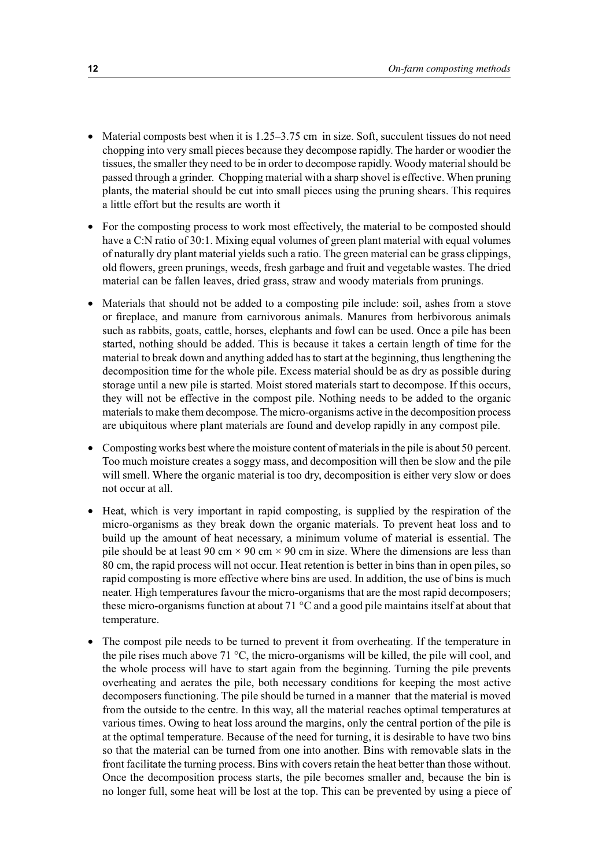- Material composts best when it is 1.25–3.75 cm in size. Soft, succulent tissues do not need chopping into very small pieces because they decompose rapidly. The harder or woodier the tissues, the smaller they need to be in order to decompose rapidly. Woody material should be passed through a grinder. Chopping material with a sharp shovel is effective. When pruning plants, the material should be cut into small pieces using the pruning shears. This requires a little effort but the results are worth it
- For the composting process to work most effectively, the material to be composted should have a C:N ratio of 30:1. Mixing equal volumes of green plant material with equal volumes of naturally dry plant material yields such a ratio. The green material can be grass clippings, old flowers, green prunings, weeds, fresh garbage and fruit and vegetable wastes. The dried material can be fallen leaves, dried grass, straw and woody materials from prunings.
- Materials that should not be added to a composting pile include: soil, ashes from a stove or fireplace, and manure from carnivorous animals. Manures from herbivorous animals such as rabbits, goats, cattle, horses, elephants and fowl can be used. Once a pile has been started, nothing should be added. This is because it takes a certain length of time for the material to break down and anything added has to start at the beginning, thus lengthening the decomposition time for the whole pile. Excess material should be as dry as possible during storage until a new pile is started. Moist stored materials start to decompose. If this occurs, they will not be effective in the compost pile. Nothing needs to be added to the organic materials to make them decompose. The micro-organisms active in the decomposition process are ubiquitous where plant materials are found and develop rapidly in any compost pile.
- Composting works best where the moisture content of materials in the pile is about 50 percent. Too much moisture creates a soggy mass, and decomposition will then be slow and the pile will smell. Where the organic material is too dry, decomposition is either very slow or does not occur at all.
- Heat, which is very important in rapid composting, is supplied by the respiration of the micro-organisms as they break down the organic materials. To prevent heat loss and to build up the amount of heat necessary, a minimum volume of material is essential. The pile should be at least 90 cm  $\times$  90 cm  $\times$  90 cm in size. Where the dimensions are less than 80 cm, the rapid process will not occur. Heat retention is better in bins than in open piles, so rapid composting is more effective where bins are used. In addition, the use of bins is much neater. High temperatures favour the micro-organisms that are the most rapid decomposers; these micro-organisms function at about 71 °C and a good pile maintains itself at about that temperature.
- The compost pile needs to be turned to prevent it from overheating. If the temperature in the pile rises much above 71 °C, the micro-organisms will be killed, the pile will cool, and the whole process will have to start again from the beginning. Turning the pile prevents overheating and aerates the pile, both necessary conditions for keeping the most active decomposers functioning. The pile should be turned in a manner that the material is moved from the outside to the centre. In this way, all the material reaches optimal temperatures at various times. Owing to heat loss around the margins, only the central portion of the pile is at the optimal temperature. Because of the need for turning, it is desirable to have two bins so that the material can be turned from one into another. Bins with removable slats in the front facilitate the turning process. Bins with covers retain the heat better than those without. Once the decomposition process starts, the pile becomes smaller and, because the bin is no longer full, some heat will be lost at the top. This can be prevented by using a piece of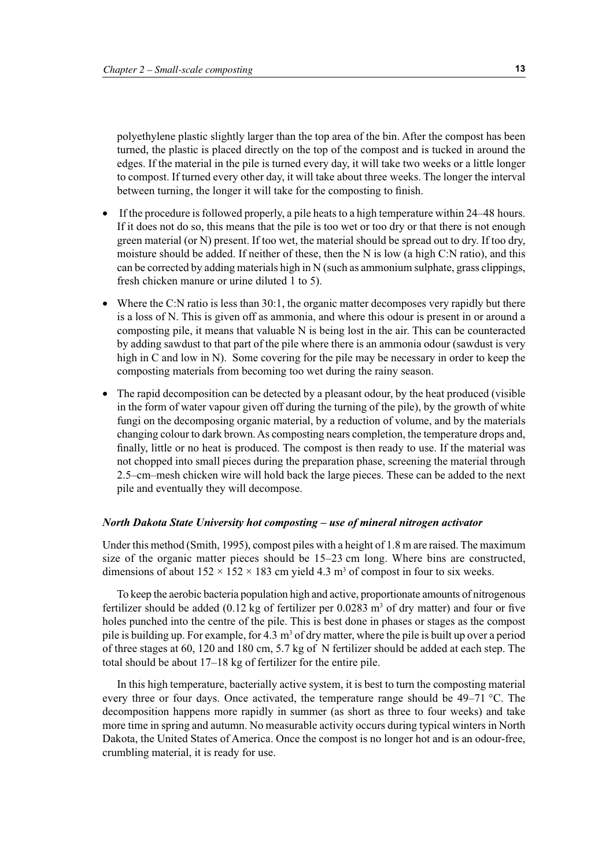polyethylene plastic slightly larger than the top area of the bin. After the compost has been turned, the plastic is placed directly on the top of the compost and is tucked in around the edges. If the material in the pile is turned every day, it will take two weeks or a little longer to compost. If turned every other day, it will take about three weeks. The longer the interval between turning, the longer it will take for the composting to finish.

- If the procedure is followed properly, a pile heats to a high temperature within 24–48 hours. If it does not do so, this means that the pile is too wet or too dry or that there is not enough green material (or N) present. If too wet, the material should be spread out to dry. If too dry, moisture should be added. If neither of these, then the N is low (a high C:N ratio), and this can be corrected by adding materials high in N (such as ammonium sulphate, grass clippings, fresh chicken manure or urine diluted 1 to 5).
- Where the C:N ratio is less than 30:1, the organic matter decomposes very rapidly but there is a loss of N. This is given off as ammonia, and where this odour is present in or around a composting pile, it means that valuable N is being lost in the air. This can be counteracted by adding sawdust to that part of the pile where there is an ammonia odour (sawdust is very high in C and low in N). Some covering for the pile may be necessary in order to keep the composting materials from becoming too wet during the rainy season.
- The rapid decomposition can be detected by a pleasant odour, by the heat produced (visible in the form of water vapour given off during the turning of the pile), by the growth of white fungi on the decomposing organic material, by a reduction of volume, and by the materials changing colour to dark brown. As composting nears completion, the temperature drops and, finally, little or no heat is produced. The compost is then ready to use. If the material was not chopped into small pieces during the preparation phase, screening the material through 2.5–cm–mesh chicken wire will hold back the large pieces. These can be added to the next pile and eventually they will decompose.

#### *North Dakota State University hot composting – use of mineral nitrogen activator*

Under this method (Smith, 1995), compost piles with a height of 1.8 m are raised. The maximum size of the organic matter pieces should be 15–23 cm long. Where bins are constructed, dimensions of about  $152 \times 152 \times 183$  cm yield 4.3 m<sup>3</sup> of compost in four to six weeks.

To keep the aerobic bacteria population high and active, proportionate amounts of nitrogenous fertilizer should be added (0.12 kg of fertilizer per  $0.0283 \text{ m}^3$  of dry matter) and four or five holes punched into the centre of the pile. This is best done in phases or stages as the compost pile is building up. For example, for 4.3  $m<sup>3</sup>$  of dry matter, where the pile is built up over a period of three stages at 60, 120 and 180 cm, 5.7 kg of N fertilizer should be added at each step. The total should be about 17–18 kg of fertilizer for the entire pile.

In this high temperature, bacterially active system, it is best to turn the composting material every three or four days. Once activated, the temperature range should be 49–71 °C. The decomposition happens more rapidly in summer (as short as three to four weeks) and take more time in spring and autumn. No measurable activity occurs during typical winters in North Dakota, the United States of America. Once the compost is no longer hot and is an odour-free, crumbling material, it is ready for use.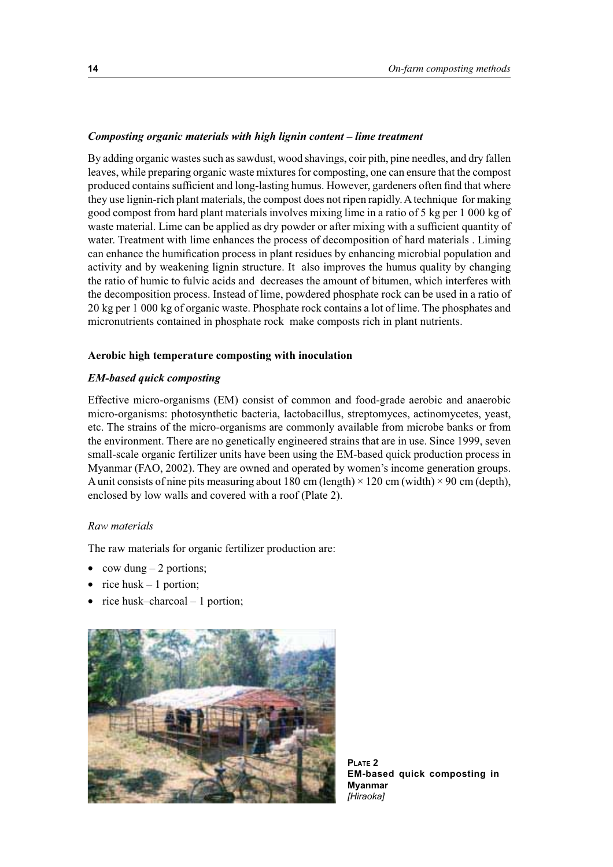#### *Composting organic materials with high lignin content – lime treatment*

By adding organic wastes such as sawdust, wood shavings, coir pith, pine needles, and dry fallen leaves, while preparing organic waste mixtures for composting, one can ensure that the compost produced contains sufficient and long-lasting humus. However, gardeners often find that where they use lignin-rich plant materials, the compost does not ripen rapidly. A technique for making good compost from hard plant materials involves mixing lime in a ratio of 5 kg per 1 000 kg of waste material. Lime can be applied as dry powder or after mixing with a sufficient quantity of water. Treatment with lime enhances the process of decomposition of hard materials . Liming can enhance the humification process in plant residues by enhancing microbial population and activity and by weakening lignin structure. It also improves the humus quality by changing the ratio of humic to fulvic acids and decreases the amount of bitumen, which interferes with the decomposition process. Instead of lime, powdered phosphate rock can be used in a ratio of 20 kg per 1 000 kg of organic waste. Phosphate rock contains a lot of lime. The phosphates and micronutrients contained in phosphate rock make composts rich in plant nutrients.

#### **Aerobic high temperature composting with inoculation**

#### *EM-based quick composting*

Effective micro-organisms (EM) consist of common and food-grade aerobic and anaerobic micro-organisms: photosynthetic bacteria, lactobacillus, streptomyces, actinomycetes, yeast, etc. The strains of the micro-organisms are commonly available from microbe banks or from the environment. There are no genetically engineered strains that are in use. Since 1999, seven small-scale organic fertilizer units have been using the EM-based quick production process in Myanmar (FAO, 2002). They are owned and operated by women's income generation groups. A unit consists of nine pits measuring about 180 cm (length)  $\times$  120 cm (width)  $\times$  90 cm (depth), enclosed by low walls and covered with a roof (Plate 2).

#### *Raw materials*

The raw materials for organic fertilizer production are:

- cow dung  $-2$  portions;
- rice husk  $-1$  portion;
- rice husk–charcoal  $-1$  portion;



**PLATE 2 EM-based quick composting in Myanmar** *[Hiraoka]*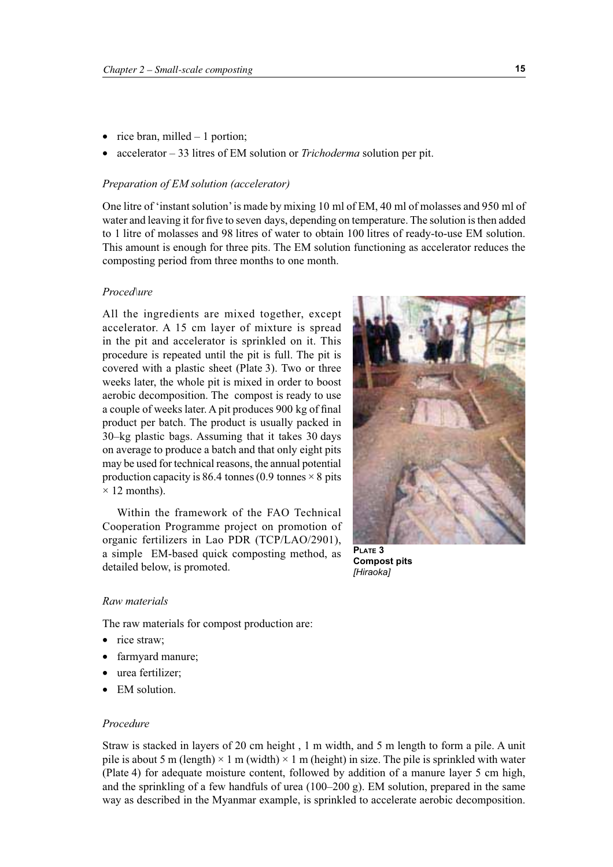- rice bran, milled  $-1$  portion;
- accelerator 33 litres of EM solution or *Trichoderma* solution per pit.

#### *Preparation of EM solution (accelerator)*

One litre of 'instant solution' is made by mixing 10 ml of EM, 40 ml of molasses and 950 ml of water and leaving it for five to seven days, depending on temperature. The solution is then added to 1 litre of molasses and 98 litres of water to obtain 100 litres of ready-to-use EM solution. This amount is enough for three pits. The EM solution functioning as accelerator reduces the composting period from three months to one month.

#### *Proced\ure*

All the ingredients are mixed together, except accelerator. A 15 cm layer of mixture is spread in the pit and accelerator is sprinkled on it. This procedure is repeated until the pit is full. The pit is covered with a plastic sheet (Plate 3). Two or three weeks later, the whole pit is mixed in order to boost aerobic decomposition. The compost is ready to use a couple of weeks later. A pit produces 900 kg of final product per batch. The product is usually packed in 30–kg plastic bags. Assuming that it takes 30 days on average to produce a batch and that only eight pits may be used for technical reasons, the annual potential production capacity is 86.4 tonnes (0.9 tonnes  $\times$  8 pits  $\times$  12 months).

Within the framework of the FAO Technical Cooperation Programme project on promotion of organic fertilizers in Lao PDR (TCP/LAO/2901), a simple EM-based quick composting method, as detailed below, is promoted.



**Compost pits** *[Hiraoka]*

#### *Raw materials*

The raw materials for compost production are:

- rice straw;
- farmyard manure;
- urea fertilizer:
- EM solution.

#### *Procedure*

Straw is stacked in layers of 20 cm height , 1 m width, and 5 m length to form a pile. A unit pile is about 5 m (length)  $\times$  1 m (width)  $\times$  1 m (height) in size. The pile is sprinkled with water (Plate 4) for adequate moisture content, followed by addition of a manure layer 5 cm high, and the sprinkling of a few handfuls of urea (100–200 g). EM solution, prepared in the same way as described in the Myanmar example, is sprinkled to accelerate aerobic decomposition.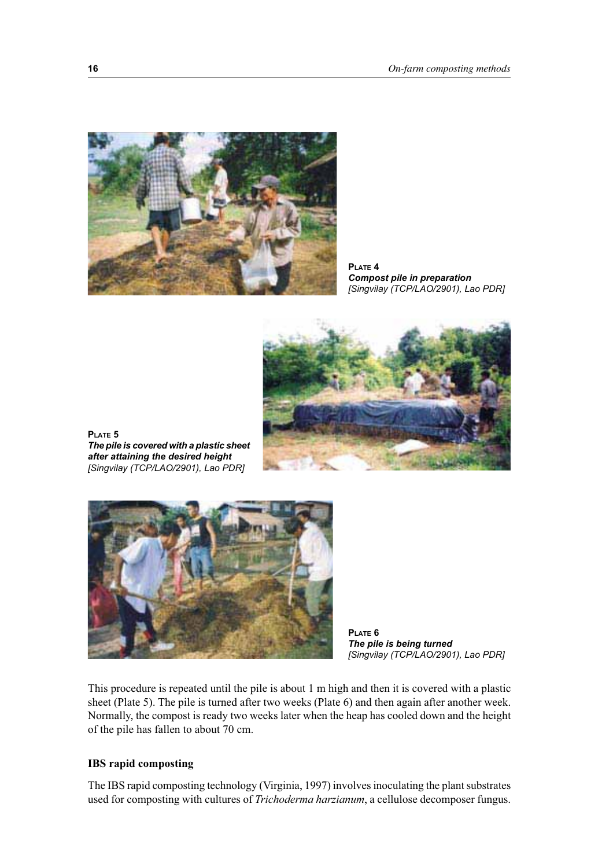

**PLATE 4** *Compost pile in preparation [Singvilay (TCP/LAO/2901), Lao PDR]*



**PLATE 5** *The pile is covered with a plastic sheet after attaining the desired height [Singvilay (TCP/LAO/2901), Lao PDR]*



**PLATE 6** *The pile is being turned [Singvilay (TCP/LAO/2901), Lao PDR]*

This procedure is repeated until the pile is about 1 m high and then it is covered with a plastic sheet (Plate 5). The pile is turned after two weeks (Plate 6) and then again after another week. Normally, the compost is ready two weeks later when the heap has cooled down and the height of the pile has fallen to about 70 cm.

#### **IBS rapid composting**

The IBS rapid composting technology (Virginia, 1997) involves inoculating the plant substrates used for composting with cultures of *Trichoderma harzianum*, a cellulose decomposer fungus.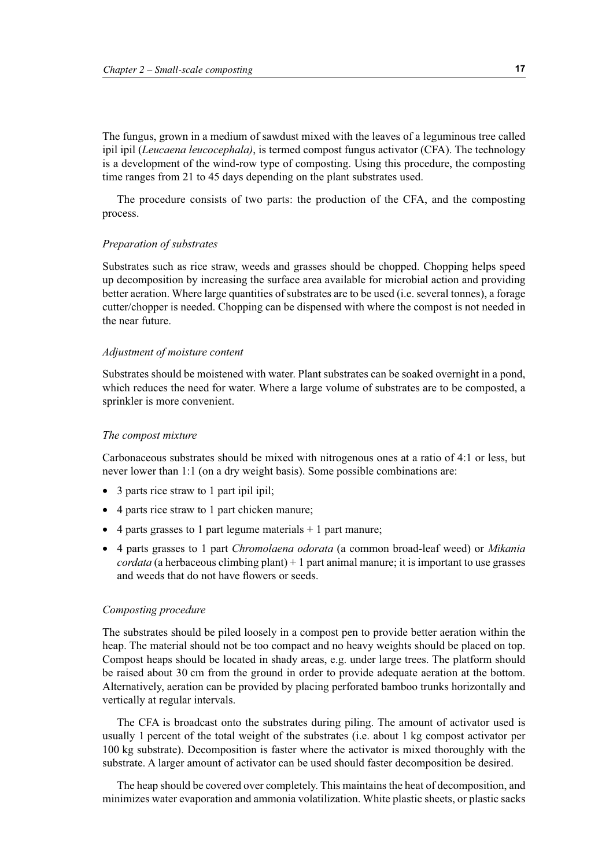The fungus, grown in a medium of sawdust mixed with the leaves of a leguminous tree called ipil ipil (*Leucaena leucocephala)*, is termed compost fungus activator (CFA). The technology is a development of the wind-row type of composting. Using this procedure, the composting time ranges from 21 to 45 days depending on the plant substrates used.

The procedure consists of two parts: the production of the CFA, and the composting process.

#### *Preparation of substrates*

Substrates such as rice straw, weeds and grasses should be chopped. Chopping helps speed up decomposition by increasing the surface area available for microbial action and providing better aeration. Where large quantities of substrates are to be used (i.e. several tonnes), a forage cutter/chopper is needed. Chopping can be dispensed with where the compost is not needed in the near future.

#### *Adjustment of moisture content*

Substrates should be moistened with water. Plant substrates can be soaked overnight in a pond, which reduces the need for water. Where a large volume of substrates are to be composted, a sprinkler is more convenient.

#### *The compost mixture*

Carbonaceous substrates should be mixed with nitrogenous ones at a ratio of 4:1 or less, but never lower than 1:1 (on a dry weight basis). Some possible combinations are:

- 3 parts rice straw to 1 part ipil ipil:
- 4 parts rice straw to 1 part chicken manure;
- 4 parts grasses to 1 part legume materials  $+$  1 part manure;
- 4 parts grasses to 1 part *Chromolaena odorata* (a common broad-leaf weed) or *Mikania cordata* (a herbaceous climbing plant)  $+1$  part animal manure; it is important to use grasses and weeds that do not have flowers or seeds.

#### *Composting procedure*

The substrates should be piled loosely in a compost pen to provide better aeration within the heap. The material should not be too compact and no heavy weights should be placed on top. Compost heaps should be located in shady areas, e.g. under large trees. The platform should be raised about 30 cm from the ground in order to provide adequate aeration at the bottom. Alternatively, aeration can be provided by placing perforated bamboo trunks horizontally and vertically at regular intervals.

The CFA is broadcast onto the substrates during piling. The amount of activator used is usually 1 percent of the total weight of the substrates (i.e. about 1 kg compost activator per 100 kg substrate). Decomposition is faster where the activator is mixed thoroughly with the substrate. A larger amount of activator can be used should faster decomposition be desired.

The heap should be covered over completely. This maintains the heat of decomposition, and minimizes water evaporation and ammonia volatilization. White plastic sheets, or plastic sacks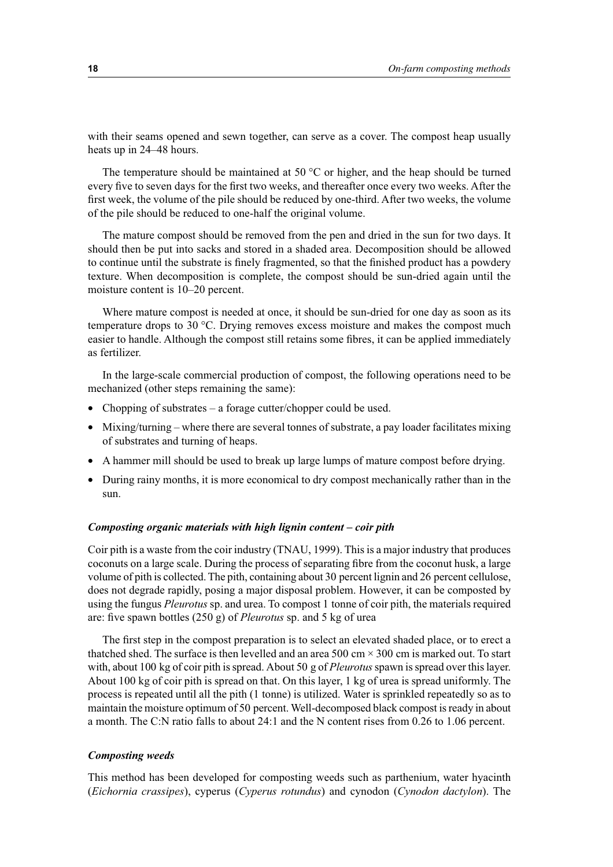with their seams opened and sewn together, can serve as a cover. The compost heap usually heats up in 24–48 hours.

The temperature should be maintained at 50  $^{\circ}$ C or higher, and the heap should be turned every five to seven days for the first two weeks, and thereafter once every two weeks. After the first week, the volume of the pile should be reduced by one-third. After two weeks, the volume of the pile should be reduced to one-half the original volume.

The mature compost should be removed from the pen and dried in the sun for two days. It should then be put into sacks and stored in a shaded area. Decomposition should be allowed to continue until the substrate is finely fragmented, so that the finished product has a powdery texture. When decomposition is complete, the compost should be sun-dried again until the moisture content is 10–20 percent.

Where mature compost is needed at once, it should be sun-dried for one day as soon as its temperature drops to 30 °C. Drying removes excess moisture and makes the compost much easier to handle. Although the compost still retains some fibres, it can be applied immediately as fertilizer.

In the large-scale commercial production of compost, the following operations need to be mechanized (other steps remaining the same):

- Chopping of substrates a forage cutter/chopper could be used.
- Mixing/turning where there are several tonnes of substrate, a pay loader facilitates mixing of substrates and turning of heaps.
- A hammer mill should be used to break up large lumps of mature compost before drying.
- During rainy months, it is more economical to dry compost mechanically rather than in the sun.

#### *Composting organic materials with high lignin content – coir pith*

Coir pith is a waste from the coir industry (TNAU, 1999). This is a major industry that produces coconuts on a large scale. During the process of separating fibre from the coconut husk, a large volume of pith is collected. The pith, containing about 30 percent lignin and 26 percent cellulose, does not degrade rapidly, posing a major disposal problem. However, it can be composted by using the fungus *Pleurotus* sp. and urea. To compost 1 tonne of coir pith, the materials required are: five spawn bottles (250 g) of *Pleurotus* sp. and 5 kg of urea

The first step in the compost preparation is to select an elevated shaded place, or to erect a thatched shed. The surface is then levelled and an area  $500 \text{ cm} \times 300 \text{ cm}$  is marked out. To start with, about 100 kg of coir pith is spread. About 50 g of *Pleurotus*spawn is spread over this layer. About 100 kg of coir pith is spread on that. On this layer, 1 kg of urea is spread uniformly. The process is repeated until all the pith (1 tonne) is utilized. Water is sprinkled repeatedly so as to maintain the moisture optimum of 50 percent. Well-decomposed black compost is ready in about a month. The C:N ratio falls to about 24:1 and the N content rises from 0.26 to 1.06 percent.

#### *Composting weeds*

This method has been developed for composting weeds such as parthenium, water hyacinth (*Eichornia crassipes*), cyperus (*Cyperus rotundus*) and cynodon (*Cynodon dactylon*). The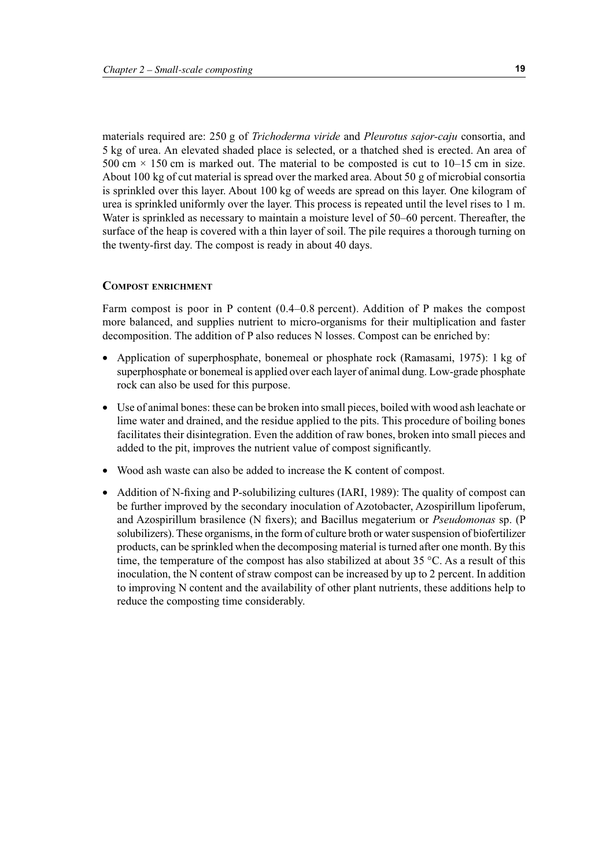materials required are: 250 g of *Trichoderma viride* and *Pleurotus sajor-caju* consortia, and 5 kg of urea. An elevated shaded place is selected, or a thatched shed is erected. An area of 500 cm  $\times$  150 cm is marked out. The material to be composted is cut to 10–15 cm in size. About 100 kg of cut material is spread over the marked area. About 50 g of microbial consortia is sprinkled over this layer. About 100 kg of weeds are spread on this layer. One kilogram of urea is sprinkled uniformly over the layer. This process is repeated until the level rises to 1 m. Water is sprinkled as necessary to maintain a moisture level of 50–60 percent. Thereafter, the surface of the heap is covered with a thin layer of soil. The pile requires a thorough turning on the twenty-first day. The compost is ready in about 40 days.

#### **COMPOST ENRICHMENT**

Farm compost is poor in P content (0.4–0.8 percent). Addition of P makes the compost more balanced, and supplies nutrient to micro-organisms for their multiplication and faster decomposition. The addition of P also reduces N losses. Compost can be enriched by:

- Application of superphosphate, bonemeal or phosphate rock (Ramasami, 1975): 1 kg of superphosphate or bonemeal is applied over each layer of animal dung. Low-grade phosphate rock can also be used for this purpose.
- Use of animal bones: these can be broken into small pieces, boiled with wood ash leachate or lime water and drained, and the residue applied to the pits. This procedure of boiling bones facilitates their disintegration. Even the addition of raw bones, broken into small pieces and added to the pit, improves the nutrient value of compost significantly.
- Wood ash waste can also be added to increase the K content of compost.
- Addition of N-fixing and P-solubilizing cultures (IARI, 1989): The quality of compost can be further improved by the secondary inoculation of Azotobacter, Azospirillum lipoferum, and Azospirillum brasilence (N fixers); and Bacillus megaterium or *Pseudomonas* sp. (P solubilizers). These organisms, in the form of culture broth or water suspension of biofertilizer products, can be sprinkled when the decomposing material is turned after one month. By this time, the temperature of the compost has also stabilized at about 35  $^{\circ}$ C. As a result of this inoculation, the N content of straw compost can be increased by up to 2 percent. In addition to improving N content and the availability of other plant nutrients, these additions help to reduce the composting time considerably.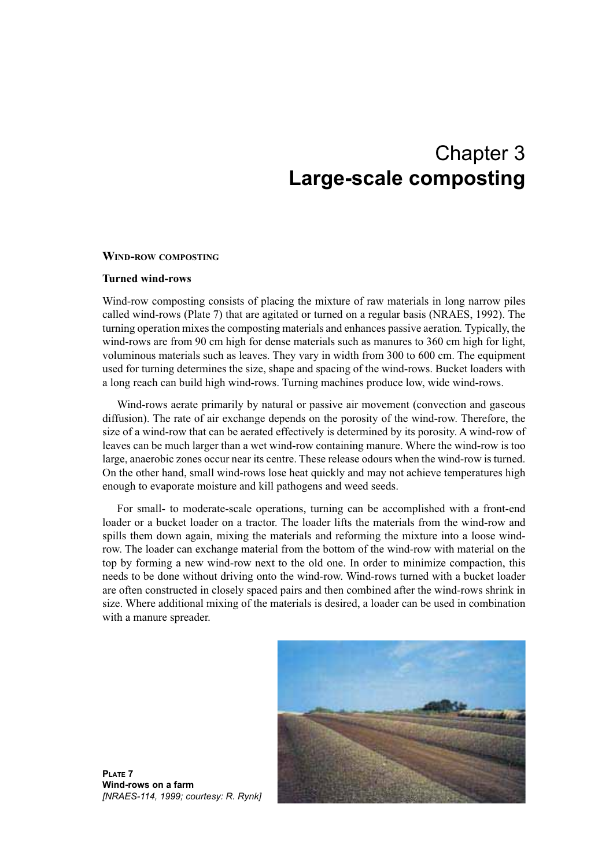## Chapter 3 **Large-scale composting**

#### **WIND-ROW COMPOSTING**

#### **Turned wind-rows**

Wind-row composting consists of placing the mixture of raw materials in long narrow piles called wind-rows (Plate 7) that are agitated or turned on a regular basis (NRAES, 1992). The turning operation mixes the composting materials and enhances passive aeration*.* Typically, the wind-rows are from 90 cm high for dense materials such as manures to 360 cm high for light, voluminous materials such as leaves. They vary in width from 300 to 600 cm. The equipment used for turning determines the size, shape and spacing of the wind-rows. Bucket loaders with a long reach can build high wind-rows. Turning machines produce low, wide wind-rows.

Wind-rows aerate primarily by natural or passive air movement (convection and gaseous diffusion). The rate of air exchange depends on the porosity of the wind-row. Therefore, the size of a wind-row that can be aerated effectively is determined by its porosity. A wind-row of leaves can be much larger than a wet wind-row containing manure. Where the wind-row is too large, anaerobic zones occur near its centre. These release odours when the wind-row is turned. On the other hand, small wind-rows lose heat quickly and may not achieve temperatures high enough to evaporate moisture and kill pathogens and weed seeds.

For small- to moderate-scale operations, turning can be accomplished with a front-end loader or a bucket loader on a tractor. The loader lifts the materials from the wind-row and spills them down again, mixing the materials and reforming the mixture into a loose windrow. The loader can exchange material from the bottom of the wind-row with material on the top by forming a new wind-row next to the old one. In order to minimize compaction, this needs to be done without driving onto the wind-row. Wind-rows turned with a bucket loader are often constructed in closely spaced pairs and then combined after the wind-rows shrink in size. Where additional mixing of the materials is desired, a loader can be used in combination with a manure spreader.



**PLATE 7 Wind-rows on a farm**  *[NRAES-114, 1999; courtesy: R. Rynk]*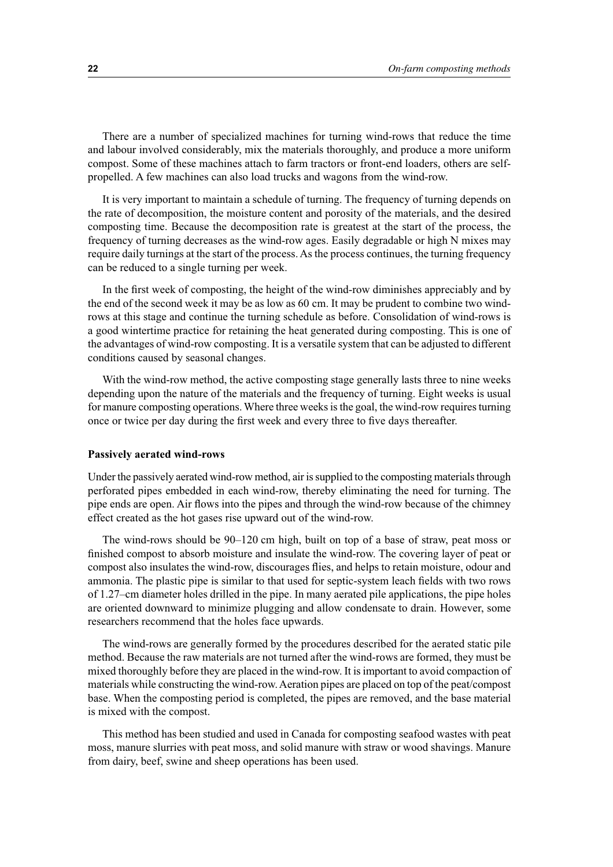There are a number of specialized machines for turning wind-rows that reduce the time and labour involved considerably, mix the materials thoroughly, and produce a more uniform compost. Some of these machines attach to farm tractors or front-end loaders, others are selfpropelled. A few machines can also load trucks and wagons from the wind-row.

It is very important to maintain a schedule of turning. The frequency of turning depends on the rate of decomposition, the moisture content and porosity of the materials, and the desired composting time. Because the decomposition rate is greatest at the start of the process, the frequency of turning decreases as the wind-row ages. Easily degradable or high N mixes may require daily turnings at the start of the process. As the process continues, the turning frequency can be reduced to a single turning per week.

In the first week of composting, the height of the wind-row diminishes appreciably and by the end of the second week it may be as low as 60 cm. It may be prudent to combine two windrows at this stage and continue the turning schedule as before. Consolidation of wind-rows is a good wintertime practice for retaining the heat generated during composting. This is one of the advantages of wind-row composting. It is a versatile system that can be adjusted to different conditions caused by seasonal changes.

With the wind-row method, the active composting stage generally lasts three to nine weeks depending upon the nature of the materials and the frequency of turning. Eight weeks is usual for manure composting operations. Where three weeks is the goal, the wind-row requires turning once or twice per day during the first week and every three to five days thereafter.

#### **Passively aerated wind-rows**

Under the passively aerated wind-row method, air is supplied to the composting materials through perforated pipes embedded in each wind-row, thereby eliminating the need for turning. The pipe ends are open. Air flows into the pipes and through the wind-row because of the chimney effect created as the hot gases rise upward out of the wind-row.

The wind-rows should be 90–120 cm high, built on top of a base of straw, peat moss or finished compost to absorb moisture and insulate the wind-row. The covering layer of peat or compost also insulates the wind-row, discourages flies, and helps to retain moisture, odour and ammonia. The plastic pipe is similar to that used for septic-system leach fields with two rows of 1.27–cm diameter holes drilled in the pipe. In many aerated pile applications, the pipe holes are oriented downward to minimize plugging and allow condensate to drain. However, some researchers recommend that the holes face upwards.

The wind-rows are generally formed by the procedures described for the aerated static pile method. Because the raw materials are not turned after the wind-rows are formed, they must be mixed thoroughly before they are placed in the wind-row. It is important to avoid compaction of materials while constructing the wind-row. Aeration pipes are placed on top of the peat/compost base. When the composting period is completed, the pipes are removed, and the base material is mixed with the compost.

This method has been studied and used in Canada for composting seafood wastes with peat moss, manure slurries with peat moss, and solid manure with straw or wood shavings. Manure from dairy, beef, swine and sheep operations has been used.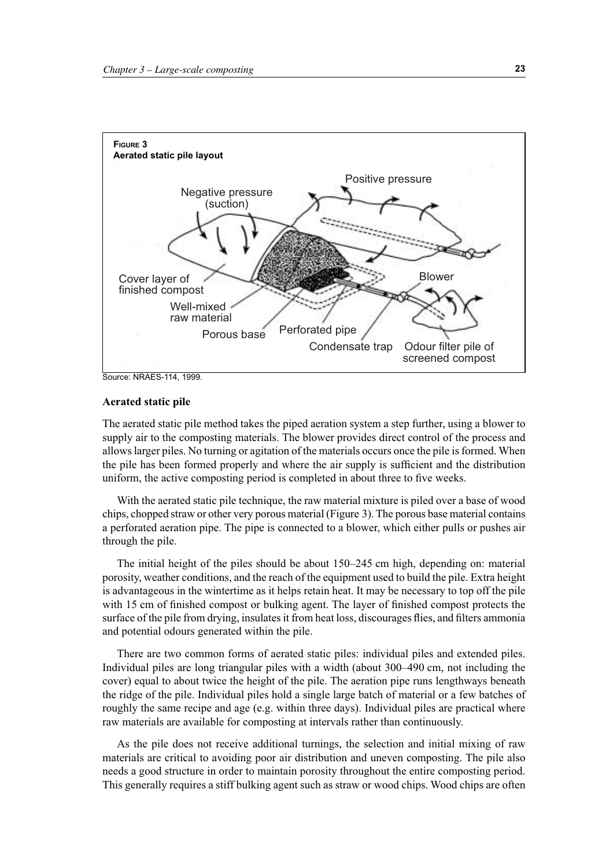

Source: NRAES-114, 1999.

#### **Aerated static pile**

The aerated static pile method takes the piped aeration system a step further, using a blower to supply air to the composting materials. The blower provides direct control of the process and allows larger piles. No turning or agitation of the materials occurs once the pile is formed. When the pile has been formed properly and where the air supply is sufficient and the distribution uniform, the active composting period is completed in about three to five weeks.

With the aerated static pile technique, the raw material mixture is piled over a base of wood chips, chopped straw or other very porous material (Figure 3). The porous base material contains a perforated aeration pipe. The pipe is connected to a blower, which either pulls or pushes air through the pile.

The initial height of the piles should be about 150–245 cm high, depending on: material porosity, weather conditions, and the reach of the equipment used to build the pile. Extra height is advantageous in the wintertime as it helps retain heat. It may be necessary to top off the pile with 15 cm of finished compost or bulking agent. The layer of finished compost protects the surface of the pile from drying, insulates it from heat loss, discourages flies, and filters ammonia and potential odours generated within the pile.

There are two common forms of aerated static piles: individual piles and extended piles. Individual piles are long triangular piles with a width (about 300–490 cm, not including the cover) equal to about twice the height of the pile. The aeration pipe runs lengthways beneath the ridge of the pile. Individual piles hold a single large batch of material or a few batches of roughly the same recipe and age (e.g. within three days). Individual piles are practical where raw materials are available for composting at intervals rather than continuously.

As the pile does not receive additional turnings, the selection and initial mixing of raw materials are critical to avoiding poor air distribution and uneven composting. The pile also needs a good structure in order to maintain porosity throughout the entire composting period. This generally requires a stiff bulking agent such as straw or wood chips. Wood chips are often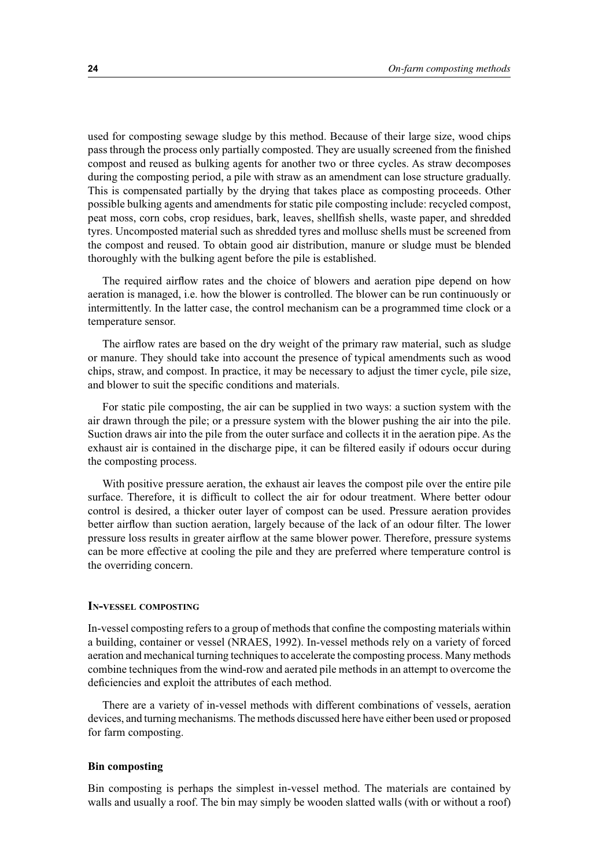used for composting sewage sludge by this method. Because of their large size, wood chips pass through the process only partially composted. They are usually screened from the finished compost and reused as bulking agents for another two or three cycles. As straw decomposes during the composting period, a pile with straw as an amendment can lose structure gradually. This is compensated partially by the drying that takes place as composting proceeds. Other possible bulking agents and amendments for static pile composting include: recycled compost, peat moss, corn cobs, crop residues, bark, leaves, shellfish shells, waste paper, and shredded tyres. Uncomposted material such as shredded tyres and mollusc shells must be screened from the compost and reused. To obtain good air distribution, manure or sludge must be blended thoroughly with the bulking agent before the pile is established.

The required airflow rates and the choice of blowers and aeration pipe depend on how aeration is managed, i.e. how the blower is controlled. The blower can be run continuously or intermittently. In the latter case, the control mechanism can be a programmed time clock or a temperature sensor.

The airflow rates are based on the dry weight of the primary raw material, such as sludge or manure. They should take into account the presence of typical amendments such as wood chips, straw, and compost. In practice, it may be necessary to adjust the timer cycle, pile size, and blower to suit the specific conditions and materials.

For static pile composting, the air can be supplied in two ways: a suction system with the air drawn through the pile; or a pressure system with the blower pushing the air into the pile. Suction draws air into the pile from the outer surface and collects it in the aeration pipe. As the exhaust air is contained in the discharge pipe, it can be filtered easily if odours occur during the composting process.

With positive pressure aeration, the exhaust air leaves the compost pile over the entire pile surface. Therefore, it is difficult to collect the air for odour treatment. Where better odour control is desired, a thicker outer layer of compost can be used. Pressure aeration provides better airflow than suction aeration, largely because of the lack of an odour filter. The lower pressure loss results in greater airflow at the same blower power. Therefore, pressure systems can be more effective at cooling the pile and they are preferred where temperature control is the overriding concern.

#### **IN-VESSEL COMPOSTING**

In-vessel composting refers to a group of methods that confine the composting materials within a building, container or vessel (NRAES, 1992). In-vessel methods rely on a variety of forced aeration and mechanical turning techniques to accelerate the composting process. Many methods combine techniques from the wind-row and aerated pile methods in an attempt to overcome the deficiencies and exploit the attributes of each method.

There are a variety of in-vessel methods with different combinations of vessels, aeration devices, and turning mechanisms. The methods discussed here have either been used or proposed for farm composting.

#### **Bin composting**

Bin composting is perhaps the simplest in-vessel method. The materials are contained by walls and usually a roof. The bin may simply be wooden slatted walls (with or without a roof)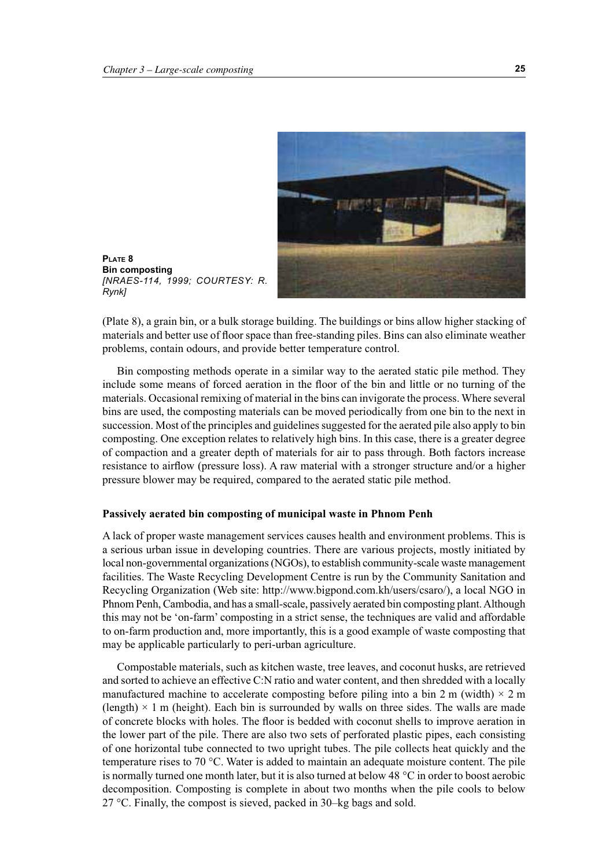

**PLATE 8 Bin composting**  *[NRAES-114, 1999; COURTESY: R. Rynk]*

(Plate 8), a grain bin, or a bulk storage building. The buildings or bins allow higher stacking of materials and better use of floor space than free-standing piles. Bins can also eliminate weather problems, contain odours, and provide better temperature control.

Bin composting methods operate in a similar way to the aerated static pile method. They include some means of forced aeration in the floor of the bin and little or no turning of the materials. Occasional remixing of material in the bins can invigorate the process. Where several bins are used, the composting materials can be moved periodically from one bin to the next in succession. Most of the principles and guidelines suggested for the aerated pile also apply to bin composting. One exception relates to relatively high bins. In this case, there is a greater degree of compaction and a greater depth of materials for air to pass through. Both factors increase resistance to airflow (pressure loss). A raw material with a stronger structure and/or a higher pressure blower may be required, compared to the aerated static pile method.

#### **Passively aerated bin composting of municipal waste in Phnom Penh**

A lack of proper waste management services causes health and environment problems. This is a serious urban issue in developing countries. There are various projects, mostly initiated by local non-governmental organizations (NGOs), to establish community-scale waste management facilities. The Waste Recycling Development Centre is run by the Community Sanitation and Recycling Organization (Web site: http://www.bigpond.com.kh/users/csaro/), a local NGO in Phnom Penh, Cambodia, and has a small-scale, passively aerated bin composting plant. Although this may not be 'on-farm' composting in a strict sense, the techniques are valid and affordable to on-farm production and, more importantly, this is a good example of waste composting that may be applicable particularly to peri-urban agriculture.

Compostable materials, such as kitchen waste, tree leaves, and coconut husks, are retrieved and sorted to achieve an effective C:N ratio and water content, and then shredded with a locally manufactured machine to accelerate composting before piling into a bin 2 m (width)  $\times$  2 m (length)  $\times$  1 m (height). Each bin is surrounded by walls on three sides. The walls are made of concrete blocks with holes. The floor is bedded with coconut shells to improve aeration in the lower part of the pile. There are also two sets of perforated plastic pipes, each consisting of one horizontal tube connected to two upright tubes. The pile collects heat quickly and the temperature rises to 70 °C. Water is added to maintain an adequate moisture content. The pile is normally turned one month later, but it is also turned at below 48  $\degree$ C in order to boost aerobic decomposition. Composting is complete in about two months when the pile cools to below 27 °C. Finally, the compost is sieved, packed in 30–kg bags and sold.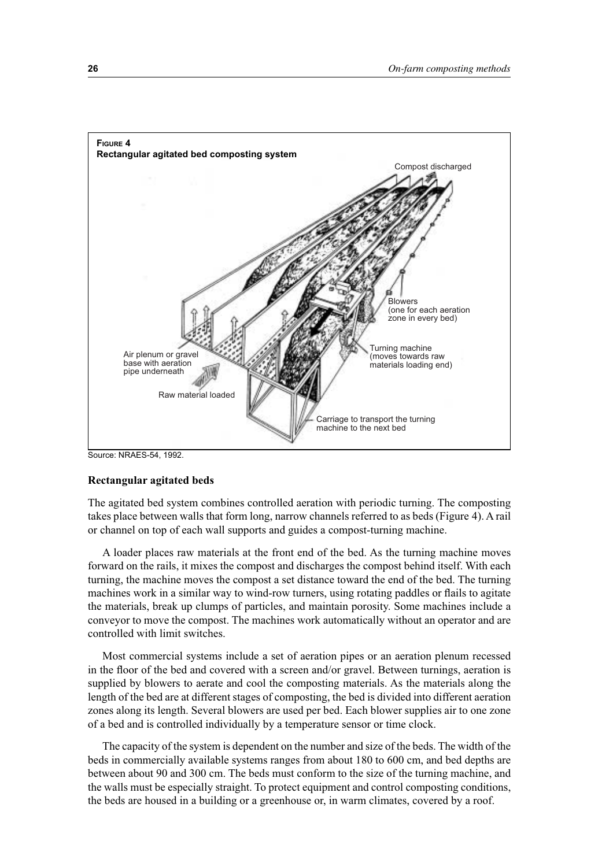

Source: NRAES-54, 1992.

#### **Rectangular agitated beds**

The agitated bed system combines controlled aeration with periodic turning. The composting takes place between walls that form long, narrow channels referred to as beds (Figure 4). A rail or channel on top of each wall supports and guides a compost-turning machine.

A loader places raw materials at the front end of the bed. As the turning machine moves forward on the rails, it mixes the compost and discharges the compost behind itself. With each turning, the machine moves the compost a set distance toward the end of the bed. The turning machines work in a similar way to wind-row turners, using rotating paddles or flails to agitate the materials, break up clumps of particles, and maintain porosity. Some machines include a conveyor to move the compost. The machines work automatically without an operator and are controlled with limit switches.

Most commercial systems include a set of aeration pipes or an aeration plenum recessed in the floor of the bed and covered with a screen and/or gravel. Between turnings, aeration is supplied by blowers to aerate and cool the composting materials. As the materials along the length of the bed are at different stages of composting, the bed is divided into different aeration zones along its length. Several blowers are used per bed. Each blower supplies air to one zone of a bed and is controlled individually by a temperature sensor or time clock.

The capacity of the system is dependent on the number and size of the beds. The width of the beds in commercially available systems ranges from about 180 to 600 cm, and bed depths are between about 90 and 300 cm. The beds must conform to the size of the turning machine, and the walls must be especially straight. To protect equipment and control composting conditions, the beds are housed in a building or a greenhouse or, in warm climates, covered by a roof.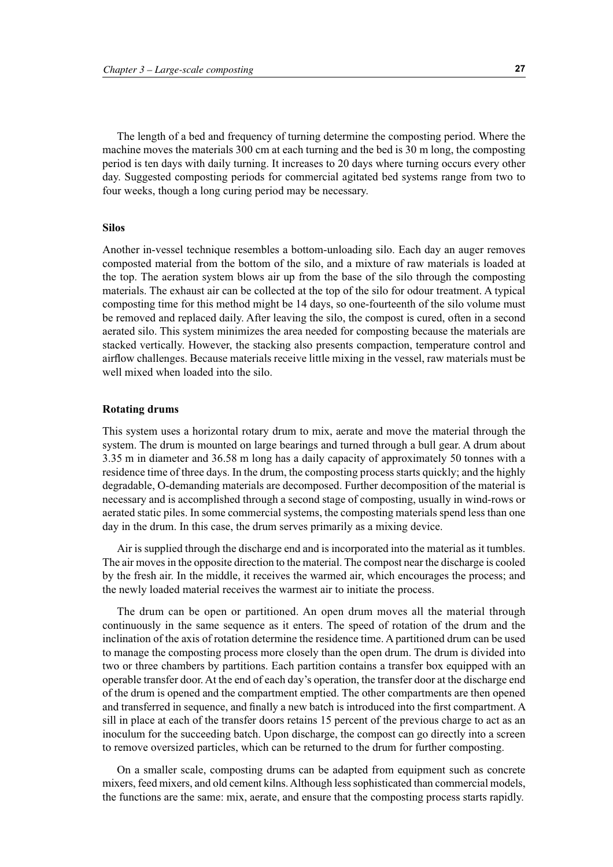The length of a bed and frequency of turning determine the composting period. Where the machine moves the materials 300 cm at each turning and the bed is 30 m long, the composting period is ten days with daily turning. It increases to 20 days where turning occurs every other day. Suggested composting periods for commercial agitated bed systems range from two to four weeks, though a long curing period may be necessary.

#### **Silos**

Another in-vessel technique resembles a bottom-unloading silo. Each day an auger removes composted material from the bottom of the silo, and a mixture of raw materials is loaded at the top. The aeration system blows air up from the base of the silo through the composting materials. The exhaust air can be collected at the top of the silo for odour treatment. A typical composting time for this method might be 14 days, so one-fourteenth of the silo volume must be removed and replaced daily. After leaving the silo, the compost is cured, often in a second aerated silo. This system minimizes the area needed for composting because the materials are stacked vertically. However, the stacking also presents compaction, temperature control and airflow challenges. Because materials receive little mixing in the vessel, raw materials must be well mixed when loaded into the silo.

#### **Rotating drums**

This system uses a horizontal rotary drum to mix, aerate and move the material through the system. The drum is mounted on large bearings and turned through a bull gear. A drum about 3.35 m in diameter and 36.58 m long has a daily capacity of approximately 50 tonnes with a residence time of three days. In the drum, the composting process starts quickly; and the highly degradable, O-demanding materials are decomposed. Further decomposition of the material is necessary and is accomplished through a second stage of composting, usually in wind-rows or aerated static piles. In some commercial systems, the composting materials spend less than one day in the drum. In this case, the drum serves primarily as a mixing device.

Air is supplied through the discharge end and is incorporated into the material as it tumbles. The air moves in the opposite direction to the material. The compost near the discharge is cooled by the fresh air. In the middle, it receives the warmed air, which encourages the process; and the newly loaded material receives the warmest air to initiate the process.

The drum can be open or partitioned. An open drum moves all the material through continuously in the same sequence as it enters. The speed of rotation of the drum and the inclination of the axis of rotation determine the residence time. A partitioned drum can be used to manage the composting process more closely than the open drum. The drum is divided into two or three chambers by partitions. Each partition contains a transfer box equipped with an operable transfer door. At the end of each day's operation, the transfer door at the discharge end of the drum is opened and the compartment emptied. The other compartments are then opened and transferred in sequence, and finally a new batch is introduced into the first compartment. A sill in place at each of the transfer doors retains 15 percent of the previous charge to act as an inoculum for the succeeding batch. Upon discharge, the compost can go directly into a screen to remove oversized particles, which can be returned to the drum for further composting.

On a smaller scale, composting drums can be adapted from equipment such as concrete mixers, feed mixers, and old cement kilns. Although less sophisticated than commercial models, the functions are the same: mix, aerate, and ensure that the composting process starts rapidly.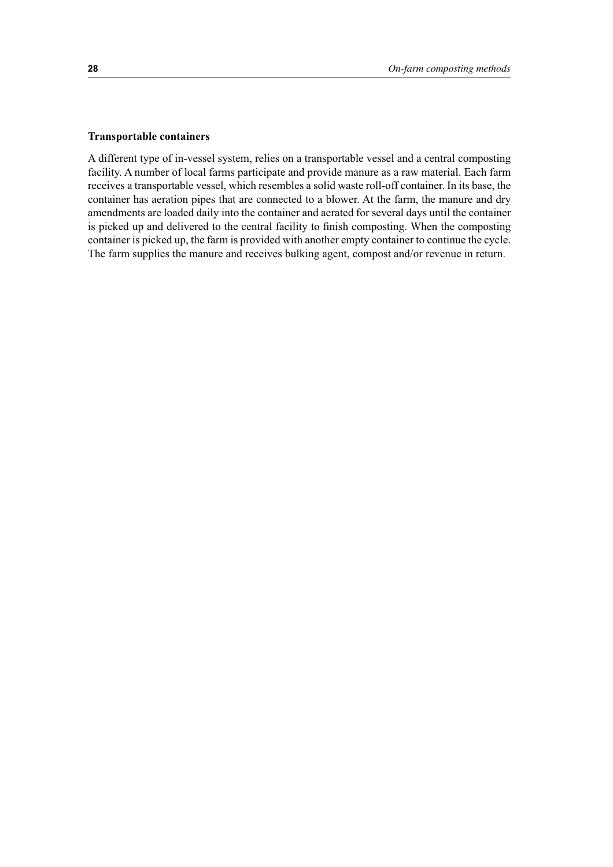#### **Transportable containers**

A different type of in-vessel system, relies on a transportable vessel and a central composting facility. A number of local farms participate and provide manure as a raw material. Each farm receives a transportable vessel, which resembles a solid waste roll-off container. In its base, the container has aeration pipes that are connected to a blower. At the farm, the manure and dry amendments are loaded daily into the container and aerated for several days until the container is picked up and delivered to the central facility to finish composting. When the composting container is picked up, the farm is provided with another empty container to continue the cycle. The farm supplies the manure and receives bulking agent, compost and/or revenue in return.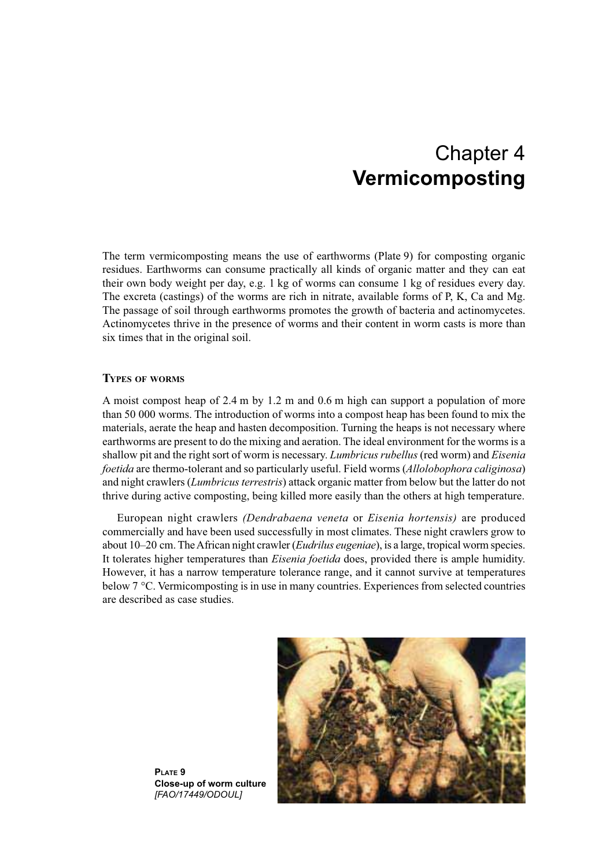## Chapter 4 **Vermicomposting**

The term vermicomposting means the use of earthworms (Plate 9) for composting organic residues. Earthworms can consume practically all kinds of organic matter and they can eat their own body weight per day, e.g. 1 kg of worms can consume 1 kg of residues every day. The excreta (castings) of the worms are rich in nitrate, available forms of P, K, Ca and Mg. The passage of soil through earthworms promotes the growth of bacteria and actinomycetes. Actinomycetes thrive in the presence of worms and their content in worm casts is more than six times that in the original soil.

#### **TYPES OF WORMS**

A moist compost heap of 2.4 m by 1.2 m and 0.6 m high can support a population of more than 50 000 worms. The introduction of worms into a compost heap has been found to mix the materials, aerate the heap and hasten decomposition. Turning the heaps is not necessary where earthworms are present to do the mixing and aeration. The ideal environment for the worms is a shallow pit and the right sort of worm is necessary. *Lumbricus rubellus* (red worm) and *Eisenia foetida* are thermo-tolerant and so particularly useful. Field worms (*Allolobophora caliginosa*) and night crawlers (*Lumbricus terrestris*) attack organic matter from below but the latter do not thrive during active composting, being killed more easily than the others at high temperature.

European night crawlers *(Dendrabaena veneta* or *Eisenia hortensis)* are produced commercially and have been used successfully in most climates. These night crawlers grow to about 10–20 cm. The African night crawler (*Eudrilus eugeniae*), is a large, tropical worm species. It tolerates higher temperatures than *Eisenia foetida* does, provided there is ample humidity. However, it has a narrow temperature tolerance range, and it cannot survive at temperatures below 7 °C. Vermicomposting is in use in many countries. Experiences from selected countries are described as case studies.



**PLATE 9 Close-up of worm culture** *[FAO/17449/ODOUL]*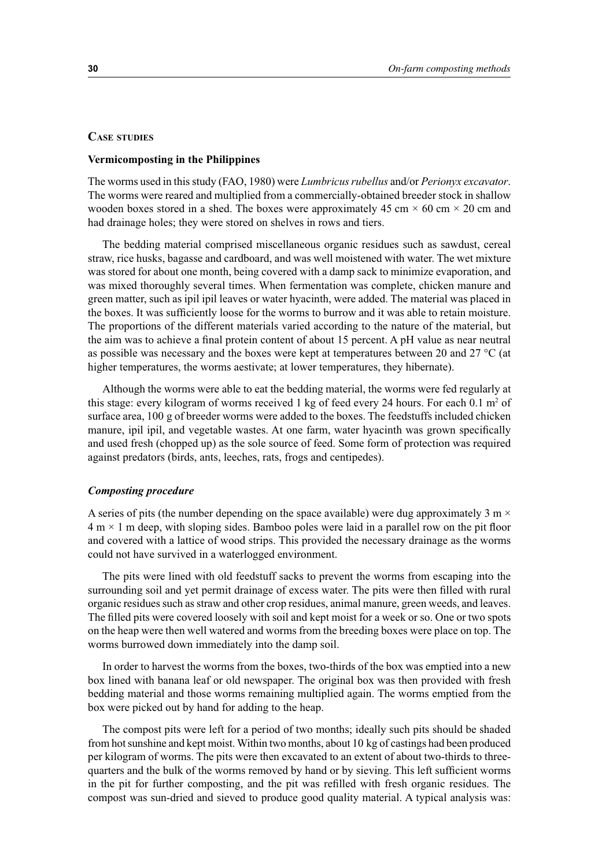#### **CASE STUDIES**

#### **Vermicomposting in the Philippines**

The worms used in this study (FAO, 1980) were *Lumbricus rubellus* and/or *Perionyx excavator*. The worms were reared and multiplied from a commercially-obtained breeder stock in shallow wooden boxes stored in a shed. The boxes were approximately 45 cm  $\times$  60 cm  $\times$  20 cm and had drainage holes; they were stored on shelves in rows and tiers.

The bedding material comprised miscellaneous organic residues such as sawdust, cereal straw, rice husks, bagasse and cardboard, and was well moistened with water. The wet mixture was stored for about one month, being covered with a damp sack to minimize evaporation, and was mixed thoroughly several times. When fermentation was complete, chicken manure and green matter, such as ipil ipil leaves or water hyacinth, were added. The material was placed in the boxes. It was sufficiently loose for the worms to burrow and it was able to retain moisture. The proportions of the different materials varied according to the nature of the material, but the aim was to achieve a final protein content of about 15 percent. A pH value as near neutral as possible was necessary and the boxes were kept at temperatures between 20 and 27  $^{\circ}$ C (at higher temperatures, the worms aestivate; at lower temperatures, they hibernate).

Although the worms were able to eat the bedding material, the worms were fed regularly at this stage: every kilogram of worms received 1 kg of feed every 24 hours. For each  $0.1 \text{ m}^2$  of surface area, 100 g of breeder worms were added to the boxes. The feedstuffs included chicken manure, ipil ipil, and vegetable wastes. At one farm, water hyacinth was grown specifically and used fresh (chopped up) as the sole source of feed. Some form of protection was required against predators (birds, ants, leeches, rats, frogs and centipedes).

#### *Composting procedure*

A series of pits (the number depending on the space available) were dug approximately 3 m  $\times$  $4 \text{ m} \times 1 \text{ m}$  deep, with sloping sides. Bamboo poles were laid in a parallel row on the pit floor and covered with a lattice of wood strips. This provided the necessary drainage as the worms could not have survived in a waterlogged environment.

The pits were lined with old feedstuff sacks to prevent the worms from escaping into the surrounding soil and yet permit drainage of excess water. The pits were then filled with rural organic residues such as straw and other crop residues, animal manure, green weeds, and leaves. The filled pits were covered loosely with soil and kept moist for a week or so. One or two spots on the heap were then well watered and worms from the breeding boxes were place on top. The worms burrowed down immediately into the damp soil.

In order to harvest the worms from the boxes, two-thirds of the box was emptied into a new box lined with banana leaf or old newspaper. The original box was then provided with fresh bedding material and those worms remaining multiplied again. The worms emptied from the box were picked out by hand for adding to the heap.

The compost pits were left for a period of two months; ideally such pits should be shaded from hot sunshine and kept moist. Within two months, about 10 kg of castings had been produced per kilogram of worms. The pits were then excavated to an extent of about two-thirds to threequarters and the bulk of the worms removed by hand or by sieving. This left sufficient worms in the pit for further composting, and the pit was refilled with fresh organic residues. The compost was sun-dried and sieved to produce good quality material. A typical analysis was: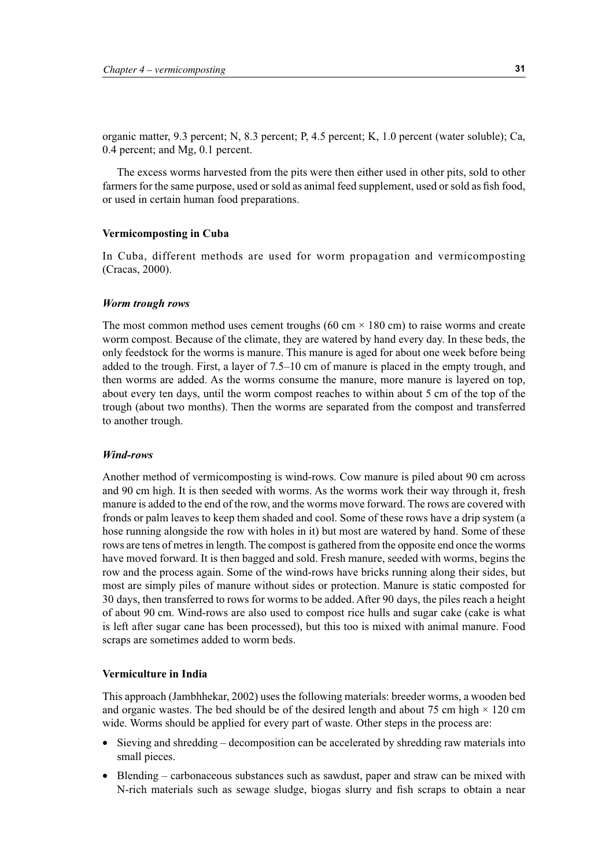organic matter, 9.3 percent; N, 8.3 percent; P, 4.5 percent; K, 1.0 percent (water soluble); Ca, 0.4 percent; and Mg, 0.1 percent.

The excess worms harvested from the pits were then either used in other pits, sold to other farmers for the same purpose, used or sold as animal feed supplement, used or sold as fish food, or used in certain human food preparations.

#### **Vermicomposting in Cuba**

In Cuba, different methods are used for worm propagation and vermicomposting (Cracas, 2000).

#### *Worm trough rows*

The most common method uses cement troughs (60 cm  $\times$  180 cm) to raise worms and create worm compost. Because of the climate, they are watered by hand every day. In these beds, the only feedstock for the worms is manure. This manure is aged for about one week before being added to the trough. First, a layer of 7.5–10 cm of manure is placed in the empty trough, and then worms are added. As the worms consume the manure, more manure is layered on top, about every ten days, until the worm compost reaches to within about 5 cm of the top of the trough (about two months). Then the worms are separated from the compost and transferred to another trough.

#### *Wind-rows*

Another method of vermicomposting is wind-rows. Cow manure is piled about 90 cm across and 90 cm high. It is then seeded with worms. As the worms work their way through it, fresh manure is added to the end of the row, and the worms move forward. The rows are covered with fronds or palm leaves to keep them shaded and cool. Some of these rows have a drip system (a hose running alongside the row with holes in it) but most are watered by hand. Some of these rows are tens of metres in length. The compost is gathered from the opposite end once the worms have moved forward. It is then bagged and sold. Fresh manure, seeded with worms, begins the row and the process again. Some of the wind-rows have bricks running along their sides, but most are simply piles of manure without sides or protection. Manure is static composted for 30 days, then transferred to rows for worms to be added. After 90 days, the piles reach a height of about 90 cm. Wind-rows are also used to compost rice hulls and sugar cake (cake is what is left after sugar cane has been processed), but this too is mixed with animal manure. Food scraps are sometimes added to worm beds.

#### **Vermiculture in India**

This approach (Jambhhekar, 2002) uses the following materials: breeder worms, a wooden bed and organic wastes. The bed should be of the desired length and about 75 cm high  $\times$  120 cm wide. Worms should be applied for every part of waste. Other steps in the process are:

- Sieving and shredding decomposition can be accelerated by shredding raw materials into small pieces.
- Blending carbonaceous substances such as sawdust, paper and straw can be mixed with N-rich materials such as sewage sludge, biogas slurry and fish scraps to obtain a near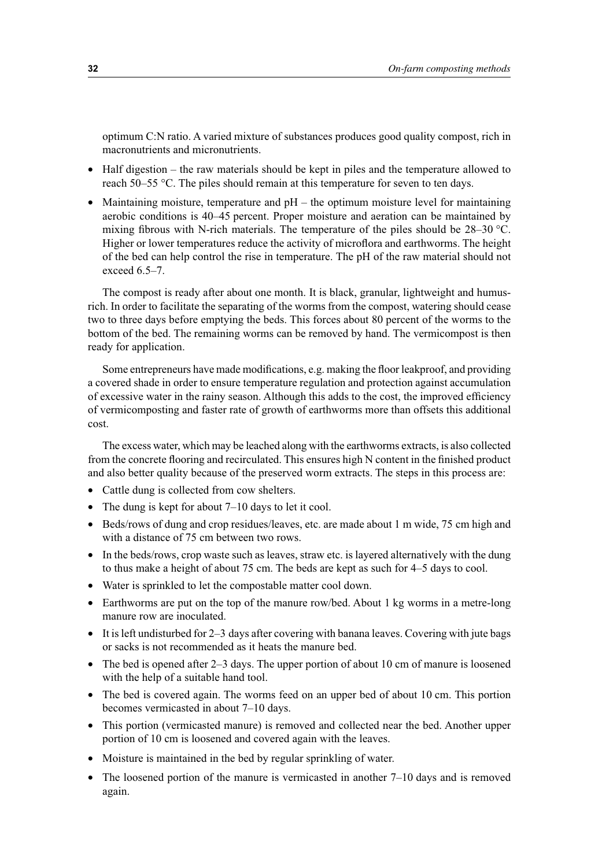optimum C:N ratio. A varied mixture of substances produces good quality compost, rich in macronutrients and micronutrients.

- Half digestion the raw materials should be kept in piles and the temperature allowed to reach 50–55 °C. The piles should remain at this temperature for seven to ten days.
- Maintaining moisture, temperature and  $pH -$  the optimum moisture level for maintaining aerobic conditions is 40–45 percent. Proper moisture and aeration can be maintained by mixing fibrous with N-rich materials. The temperature of the piles should be 28–30 °C. Higher or lower temperatures reduce the activity of microflora and earthworms. The height of the bed can help control the rise in temperature. The pH of the raw material should not exceed 6.5–7.

The compost is ready after about one month. It is black, granular, lightweight and humusrich. In order to facilitate the separating of the worms from the compost, watering should cease two to three days before emptying the beds. This forces about 80 percent of the worms to the bottom of the bed. The remaining worms can be removed by hand. The vermicompost is then ready for application.

Some entrepreneurs have made modifications, e.g. making the floor leakproof, and providing a covered shade in order to ensure temperature regulation and protection against accumulation of excessive water in the rainy season. Although this adds to the cost, the improved efficiency of vermicomposting and faster rate of growth of earthworms more than offsets this additional cost.

The excess water, which may be leached along with the earthworms extracts, is also collected from the concrete flooring and recirculated. This ensures high N content in the finished product and also better quality because of the preserved worm extracts. The steps in this process are:

- Cattle dung is collected from cow shelters.
- The dung is kept for about  $7-10$  days to let it cool.
- Beds/rows of dung and crop residues/leaves, etc. are made about 1 m wide, 75 cm high and with a distance of 75 cm between two rows.
- In the beds/rows, crop waste such as leaves, straw etc. is layered alternatively with the dung to thus make a height of about 75 cm. The beds are kept as such for 4–5 days to cool.
- Water is sprinkled to let the compostable matter cool down.
- Earthworms are put on the top of the manure row/bed. About 1 kg worms in a metre-long manure row are inoculated.
- It is left undisturbed for 2–3 days after covering with banana leaves. Covering with jute bags or sacks is not recommended as it heats the manure bed.
- The bed is opened after  $2-3$  days. The upper portion of about 10 cm of manure is loosened with the help of a suitable hand tool.
- The bed is covered again. The worms feed on an upper bed of about 10 cm. This portion becomes vermicasted in about 7–10 days.
- This portion (vermicasted manure) is removed and collected near the bed. Another upper portion of 10 cm is loosened and covered again with the leaves.
- Moisture is maintained in the bed by regular sprinkling of water.
- The loosened portion of the manure is vermicasted in another 7–10 days and is removed again.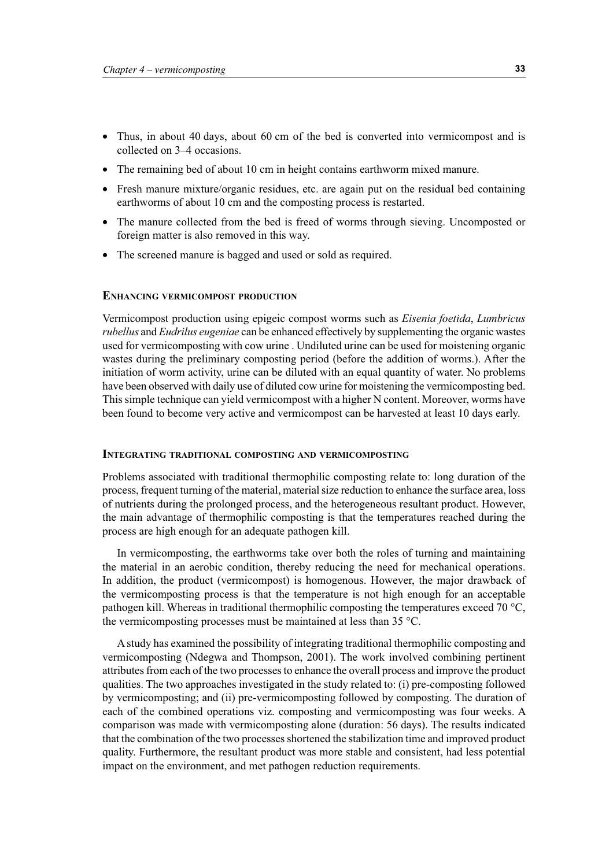- Thus, in about 40 days, about 60 cm of the bed is converted into vermicompost and is collected on 3–4 occasions.
- The remaining bed of about 10 cm in height contains earthworm mixed manure.
- Fresh manure mixture/organic residues, etc. are again put on the residual bed containing earthworms of about 10 cm and the composting process is restarted.
- The manure collected from the bed is freed of worms through sieving. Uncomposted or foreign matter is also removed in this way.
- The screened manure is bagged and used or sold as required.

#### **ENHANCING VERMICOMPOST PRODUCTION**

Vermicompost production using epigeic compost worms such as *Eisenia foetida*, *Lumbricus rubellus* and *Eudrilus eugeniae* can be enhanced effectively by supplementing the organic wastes used for vermicomposting with cow urine . Undiluted urine can be used for moistening organic wastes during the preliminary composting period (before the addition of worms.). After the initiation of worm activity, urine can be diluted with an equal quantity of water. No problems have been observed with daily use of diluted cow urine for moistening the vermicomposting bed. This simple technique can yield vermicompost with a higher N content. Moreover, worms have been found to become very active and vermicompost can be harvested at least 10 days early.

#### **INTEGRATING TRADITIONAL COMPOSTING AND VERMICOMPOSTING**

Problems associated with traditional thermophilic composting relate to: long duration of the process, frequent turning of the material, material size reduction to enhance the surface area, loss of nutrients during the prolonged process, and the heterogeneous resultant product. However, the main advantage of thermophilic composting is that the temperatures reached during the process are high enough for an adequate pathogen kill.

In vermicomposting, the earthworms take over both the roles of turning and maintaining the material in an aerobic condition, thereby reducing the need for mechanical operations. In addition, the product (vermicompost) is homogenous. However, the major drawback of the vermicomposting process is that the temperature is not high enough for an acceptable pathogen kill. Whereas in traditional thermophilic composting the temperatures exceed 70 °C, the vermicomposting processes must be maintained at less than 35 °C.

A study has examined the possibility of integrating traditional thermophilic composting and vermicomposting (Ndegwa and Thompson, 2001). The work involved combining pertinent attributes from each of the two processes to enhance the overall process and improve the product qualities. The two approaches investigated in the study related to: (i) pre-composting followed by vermicomposting; and (ii) pre-vermicomposting followed by composting. The duration of each of the combined operations viz. composting and vermicomposting was four weeks. A comparison was made with vermicomposting alone (duration: 56 days). The results indicated that the combination of the two processes shortened the stabilization time and improved product quality. Furthermore, the resultant product was more stable and consistent, had less potential impact on the environment, and met pathogen reduction requirements.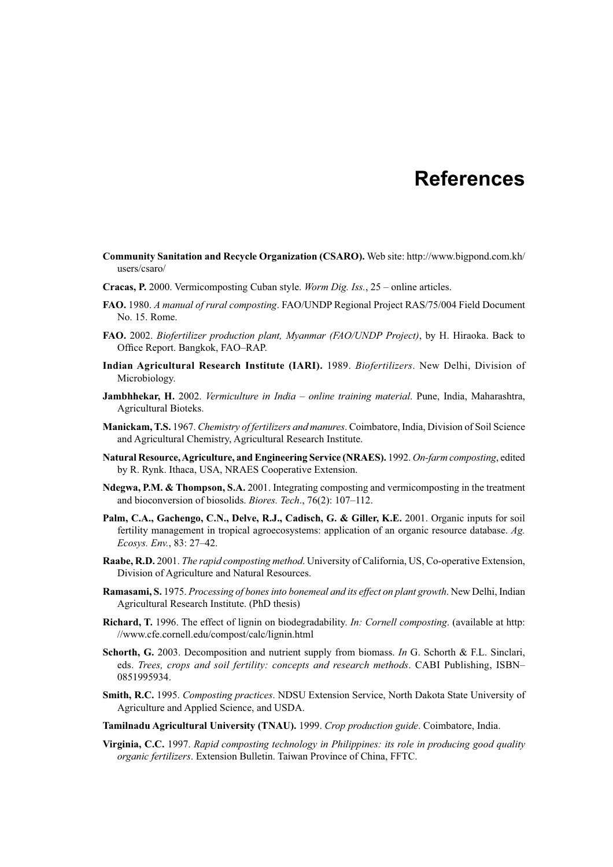### **References**

- **Community Sanitation and Recycle Organization (CSARO).** Web site: http://www.bigpond.com.kh/ users/csaro/
- **Cracas, P.** 2000. Vermicomposting Cuban style. *Worm Dig. Iss.*, 25 online articles.
- **FAO.** 1980. *A manual of rural composting*. FAO/UNDP Regional Project RAS/75/004 Field Document No. 15. Rome.
- **FAO.** 2002. *Biofertilizer production plant, Myanmar (FAO/UNDP Project)*, by H. Hiraoka. Back to Office Report. Bangkok, FAO–RAP.
- **Indian Agricultural Research Institute (IARI).** 1989. *Biofertilizers*. New Delhi, Division of Microbiology.
- **Jambhhekar, H.** 2002. *Vermiculture in India online training material*. Pune, India, Maharashtra, Agricultural Bioteks.
- **Manickam, T.S.** 1967. *Chemistry of fertilizers and manures*. Coimbatore, India, Division of Soil Science and Agricultural Chemistry, Agricultural Research Institute.
- **Natural Resource, Agriculture, and Engineering Service (NRAES).** 1992. *On-farm composting*, edited by R. Rynk. Ithaca, USA, NRAES Cooperative Extension.
- **Ndegwa, P.M. & Thompson, S.A.** 2001. Integrating composting and vermicomposting in the treatment and bioconversion of biosolids. *Biores. Tech*., 76(2): 107–112.
- **Palm, C.A., Gachengo, C.N., Delve, R.J., Cadisch, G. & Giller, K.E.** 2001. Organic inputs for soil fertility management in tropical agroecosystems: application of an organic resource database. *Ag. Ecosys. Env.*, 83: 27–42.
- **Raabe, R.D.** 2001. *The rapid composting method*. University of California, US, Co-operative Extension, Division of Agriculture and Natural Resources.
- **Ramasami, S.** 1975. *Processing of bones into bonemeal and its effect on plant growth*. New Delhi, Indian Agricultural Research Institute. (PhD thesis)
- **Richard, T.** 1996. The effect of lignin on biodegradability. *In: Cornell composting*. (available at http: //www.cfe.cornell.edu/compost/calc/lignin.html
- **Schorth, G.** 2003. Decomposition and nutrient supply from biomass. *In* G. Schorth & F.L. Sinclari, eds. *Trees, crops and soil fertility: concepts and research methods*. CABI Publishing, ISBN– 0851995934.
- **Smith, R.C.** 1995. *Composting practices*. NDSU Extension Service, North Dakota State University of Agriculture and Applied Science, and USDA.
- **Tamilnadu Agricultural University (TNAU).** 1999. *Crop production guide*. Coimbatore, India.
- **Virginia, C.C.** 1997. *Rapid composting technology in Philippines: its role in producing good quality organic fertilizers*. Extension Bulletin. Taiwan Province of China, FFTC.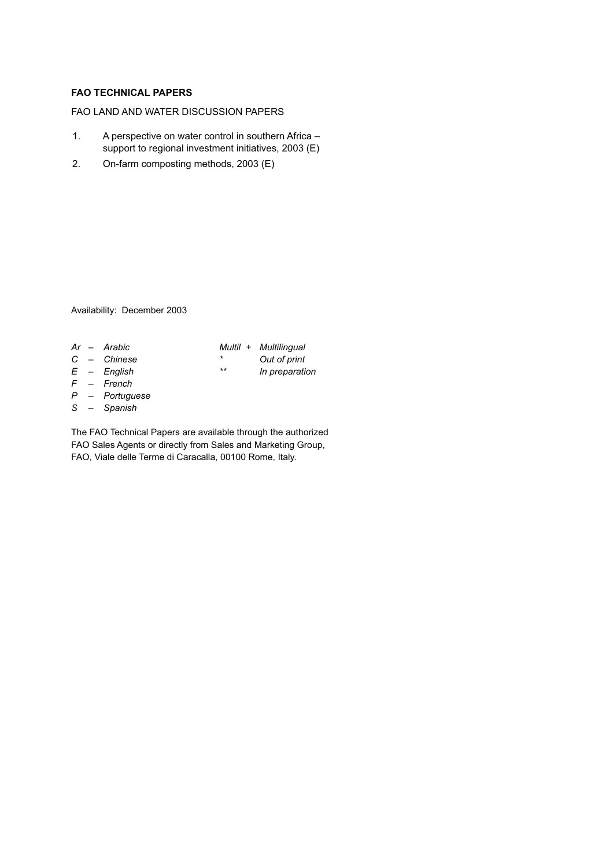#### **FAO TECHNICAL PAPERS**

#### FAO LAND AND WATER DISCUSSION PAPERS

- 1. A perspective on water control in southern Africa support to regional investment initiatives, 2003 (E)
- 2. On-farm composting methods, 2003 (E)

Availability: December 2003

- 
- 
- 
- *F French*
- *P Portuguese*
- *S Spanish*

The FAO Technical Papers are available through the authorized FAO Sales Agents or directly from Sales and Marketing Group, FAO, Viale delle Terme di Caracalla, 00100 Rome, Italy.

- *Ar Arabic Multil + Multilingual C – Chinese \* Out of print*
- *E English* \*\* In preparation
	-